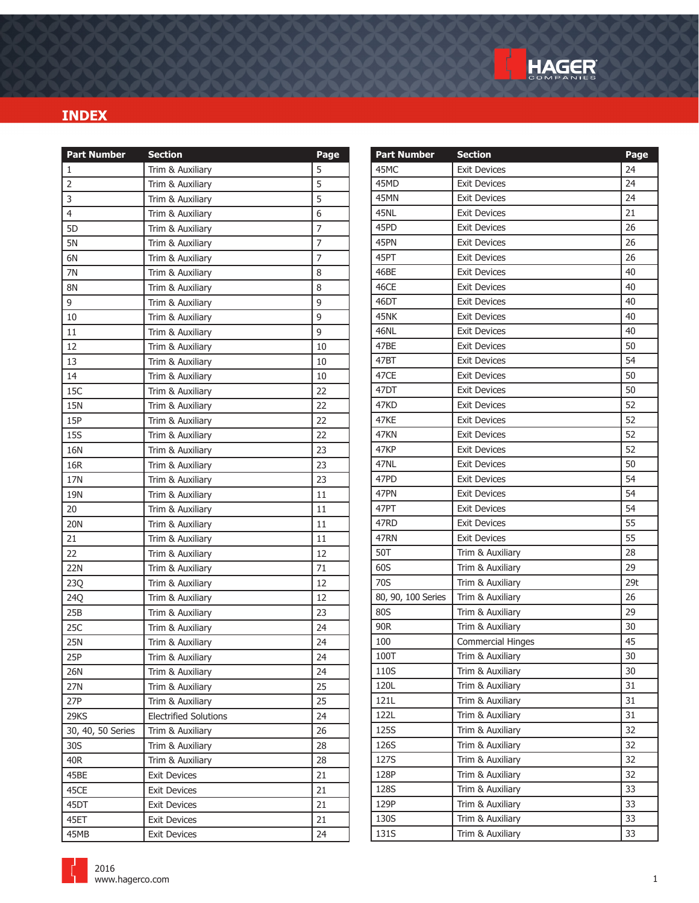

| <b>Part Number</b> | <b>Section</b>               | Page           | <b>Part Number</b> | <b>Section</b>           | Page            |
|--------------------|------------------------------|----------------|--------------------|--------------------------|-----------------|
| 1                  | Trim & Auxiliary             | 5              | 45MC               | <b>Exit Devices</b>      | 24              |
| $\overline{2}$     | Trim & Auxiliary             | 5              | 45MD               | <b>Exit Devices</b>      | 24              |
| 3                  | Trim & Auxiliary             | 5              | 45MN               | <b>Exit Devices</b>      | 24              |
| 4                  | Trim & Auxiliary             | 6              | 45NL               | <b>Exit Devices</b>      | 21              |
| 5 <sub>D</sub>     | Trim & Auxiliary             | 7              | 45PD               | <b>Exit Devices</b>      | 26              |
| 5N                 | Trim & Auxiliary             | $\overline{7}$ | 45PN               | <b>Exit Devices</b>      | 26              |
| 6N                 | Trim & Auxiliary             | $\overline{7}$ | 45PT               | <b>Exit Devices</b>      | 26              |
| 7N                 | Trim & Auxiliary             | 8              | 46BE               | <b>Exit Devices</b>      | 40              |
| <b>8N</b>          | Trim & Auxiliary             | 8              | 46CE               | <b>Exit Devices</b>      | 40              |
| 9                  | Trim & Auxiliary             | 9              | 46DT               | <b>Exit Devices</b>      | 40              |
| 10                 | Trim & Auxiliary             | 9              | 45NK               | <b>Exit Devices</b>      | 40              |
| 11                 | Trim & Auxiliary             | 9              | 46NL               | <b>Exit Devices</b>      | 40              |
| 12                 | Trim & Auxiliary             | 10             | 47BE               | <b>Exit Devices</b>      | 50              |
| 13                 | Trim & Auxiliary             | 10             | 47BT               | <b>Exit Devices</b>      | 54              |
| 14                 | Trim & Auxiliary             | 10             | 47CE               | <b>Exit Devices</b>      | 50              |
| 15C                | Trim & Auxiliary             | 22             | 47DT               | <b>Exit Devices</b>      | 50              |
| <b>15N</b>         | Trim & Auxiliary             | 22             | 47KD               | <b>Exit Devices</b>      | 52              |
| 15P                | Trim & Auxiliary             | 22             | 47KE               | <b>Exit Devices</b>      | 52              |
| <b>15S</b>         | Trim & Auxiliary             | 22             | 47KN               | <b>Exit Devices</b>      | 52              |
| 16N                | Trim & Auxiliary             | 23             | 47KP               | <b>Exit Devices</b>      | 52              |
| 16R                | Trim & Auxiliary             | 23             | 47NL               | <b>Exit Devices</b>      | 50              |
| 17N                | Trim & Auxiliary             | 23             | 47PD               | <b>Exit Devices</b>      | 54              |
| 19N                | Trim & Auxiliary             | 11             | 47PN               | <b>Exit Devices</b>      | 54              |
| 20                 | Trim & Auxiliary             | 11             | 47PT               | <b>Exit Devices</b>      | 54              |
| 20N                | Trim & Auxiliary             | 11             | 47RD               | <b>Exit Devices</b>      | 55              |
| 21                 | Trim & Auxiliary             | 11             | 47RN               | <b>Exit Devices</b>      | 55              |
| 22                 | Trim & Auxiliary             | 12             | 50T                | Trim & Auxiliary         | 28              |
| <b>22N</b>         | Trim & Auxiliary             | 71             | 60S                | Trim & Auxiliary         | 29              |
| 23Q                | Trim & Auxiliary             | 12             | 70S                | Trim & Auxiliary         | 29 <sub>t</sub> |
| 24Q                | Trim & Auxiliary             | 12             | 80, 90, 100 Series | Trim & Auxiliary         | 26              |
| 25B                | Trim & Auxiliary             | 23             | 80S                | Trim & Auxiliary         | 29              |
| 25C                | Trim & Auxiliary             | 24             | 90R                | Trim & Auxiliary         | 30              |
| <b>25N</b>         | Trim & Auxiliary             | 24             | 100                | <b>Commercial Hinges</b> | 45              |
| 25P                | Trim & Auxiliary             | 24             | 100T               | Trim & Auxiliary         | $30\,$          |
| 26N                | Trim & Auxiliary             | 24             | 110S               | Trim & Auxiliary         | 30              |
| 27N                | Trim & Auxiliary             | 25             | 120L               | Trim & Auxiliary         | 31              |
| 27P                | Trim & Auxiliary             | 25             | 121L               | Trim & Auxiliary         | 31              |
| 29KS               | <b>Electrified Solutions</b> | 24             | 122L               | Trim & Auxiliary         | 31              |
| 30, 40, 50 Series  | Trim & Auxiliary             | 26             | 125S               | Trim & Auxiliary         | 32              |
| 30S                | Trim & Auxiliary             | 28             | 126S               | Trim & Auxiliary         | 32              |
| 40R                | Trim & Auxiliary             | 28             | 127S               | Trim & Auxiliary         | 32              |
| 45BE               | <b>Exit Devices</b>          | 21             | 128P               | Trim & Auxiliary         | 32              |
| 45CE               | <b>Exit Devices</b>          | 21             | 128S               | Trim & Auxiliary         | 33              |
| 45DT               | <b>Exit Devices</b>          | 21             | 129P               | Trim & Auxiliary         | 33              |
| 45ET               | <b>Exit Devices</b>          | 21             | 130S               | Trim & Auxiliary         | 33              |
| 45MB               | <b>Exit Devices</b>          | 24             | 131S               | Trim & Auxiliary         | 33              |

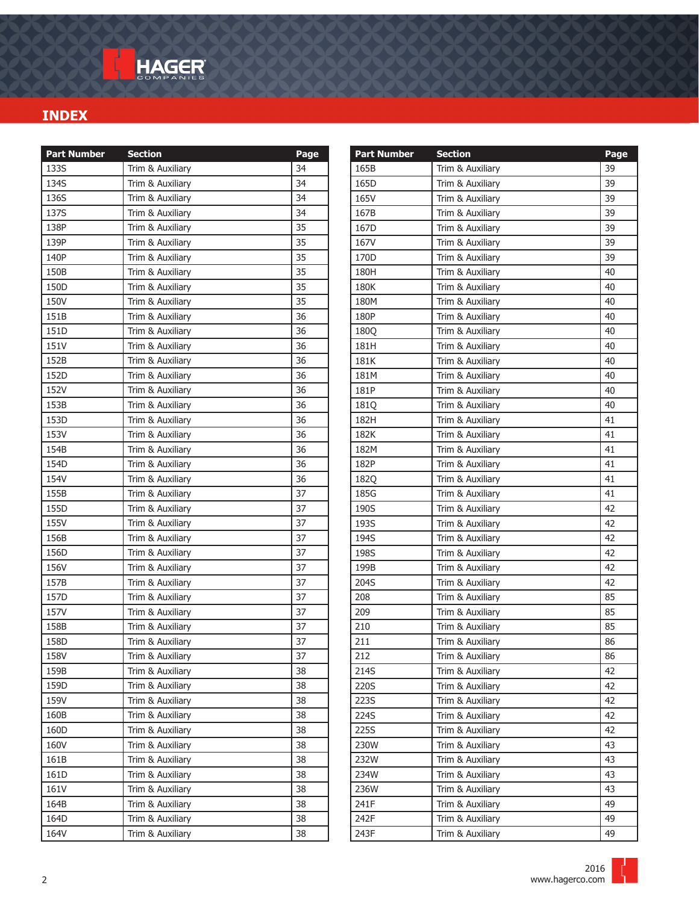| <b>Part Number</b> | <b>Section</b>   | Page |
|--------------------|------------------|------|
| 133S               | Trim & Auxiliary | 34   |
| 134S               | Trim & Auxiliary | 34   |
| 136S               | Trim & Auxiliary | 34   |
| 137S               | Trim & Auxiliary | 34   |
| 138P               | Trim & Auxiliary | 35   |
| 139P               | Trim & Auxiliary | 35   |
| 140P               | Trim & Auxiliary | 35   |
| 150B               | Trim & Auxiliary | 35   |
| 150D               | Trim & Auxiliary | 35   |
| 150V               | Trim & Auxiliary | 35   |
| 151B               | Trim & Auxiliary | 36   |
| 151D               | Trim & Auxiliary | 36   |
| 151V               | Trim & Auxiliary | 36   |
| 152B               | Trim & Auxiliary | 36   |
| 152D               | Trim & Auxiliary | 36   |
| 152V               | Trim & Auxiliary | 36   |
| 153B               | Trim & Auxiliary | 36   |
| 153D               | Trim & Auxiliary | 36   |
| 153V               | Trim & Auxiliary | 36   |
| 154B               | Trim & Auxiliary | 36   |
| 154D               | Trim & Auxiliary | 36   |
| 154V               | Trim & Auxiliary | 36   |
| 155B               | Trim & Auxiliary | 37   |
| 155D               | Trim & Auxiliary | 37   |
| 155V               | Trim & Auxiliary | 37   |
| 156B               | Trim & Auxiliary | 37   |
| 156D               | Trim & Auxiliary | 37   |
| 156V               | Trim & Auxiliary | 37   |
| 157B               | Trim & Auxiliary | 37   |
| 157D               | Trim & Auxiliary | 37   |
| 157V               | Trim & Auxiliary | 37   |
| 158B               | Trim & Auxiliary | 37   |
| 158D               | Trim & Auxiliary | 37   |
| 158V               | Trim & Auxiliary | 37   |
| 159B               | Trim & Auxiliary | 38   |
| 159D               | Trim & Auxiliary | 38   |
| 159V               | Trim & Auxiliary | 38   |
| 160B               | Trim & Auxiliary | 38   |
| 160D               | Trim & Auxiliary | 38   |
| 160V               | Trim & Auxiliary | 38   |
| 161B               | Trim & Auxiliary | 38   |
| 161D               | Trim & Auxiliary | 38   |
| 161V               | Trim & Auxiliary | 38   |
| 164B               | Trim & Auxiliary | 38   |
| 164D               | Trim & Auxiliary | 38   |
| 164V               | Trim & Auxiliary | 38   |

| <b>Part Number</b> | <b>Section</b>   | Page |
|--------------------|------------------|------|
| 165B               | Trim & Auxiliary | 39   |
| 165D               | Trim & Auxiliary | 39   |
| 165V               | Trim & Auxiliary | 39   |
| 167B               | Trim & Auxiliary | 39   |
| 167D               | Trim & Auxiliary | 39   |
| 167V               | Trim & Auxiliary | 39   |
| 170 <sub>D</sub>   | Trim & Auxiliary | 39   |
| 180H               | Trim & Auxiliary | 40   |
| 180K               | Trim & Auxiliary | 40   |
| 180M               | Trim & Auxiliary | 40   |
| 180P               | Trim & Auxiliary | 40   |
| <b>1800</b>        | Trim & Auxiliary | 40   |
| 181H               | Trim & Auxiliary | 40   |
| 181K               | Trim & Auxiliary | 40   |
| 181M               | Trim & Auxiliary | 40   |
| 181P               | Trim & Auxiliary | 40   |
| <b>1810</b>        | Trim & Auxiliary | 40   |
| 182H               | Trim & Auxiliary | 41   |
| 182K               | Trim & Auxiliary | 41   |
| 182M               | Trim & Auxiliary | 41   |
| 182P               | Trim & Auxiliary | 41   |
| 182Q               | Trim & Auxiliary | 41   |
| 185G               | Trim & Auxiliary | 41   |
| 190S               | Trim & Auxiliary | 42   |
| 193S               | Trim & Auxiliary | 42   |
| 194S               | Trim & Auxiliary | 42   |
| 198S               | Trim & Auxiliary | 42   |
| 199B               | Trim & Auxiliary | 42   |
| 204S               | Trim & Auxiliary | 42   |
| 208                | Trim & Auxiliary | 85   |
| 209                | Trim & Auxiliary | 85   |
| 210                | Trim & Auxiliary | 85   |
| 211                | Trim & Auxiliary | 86   |
| 212                | Trim & Auxiliary | 86   |
| 214S               | Trim & Auxiliary | 42   |
| 220S               | Trim & Auxiliary | 42   |
| 223S               | Trim & Auxiliary | 42   |
| 224S               | Trim & Auxiliary | 42   |
| 225S               | Trim & Auxiliary | 42   |
| 230W               | Trim & Auxiliary | 43   |
| 232W               | Trim & Auxiliary | 43   |
| 234W               | Trim & Auxiliary | 43   |
| 236W               | Trim & Auxiliary | 43   |
| 241F               | Trim & Auxiliary | 49   |
| 242F               | Trim & Auxiliary | 49   |
| 243F               | Trim & Auxiliary | 49   |

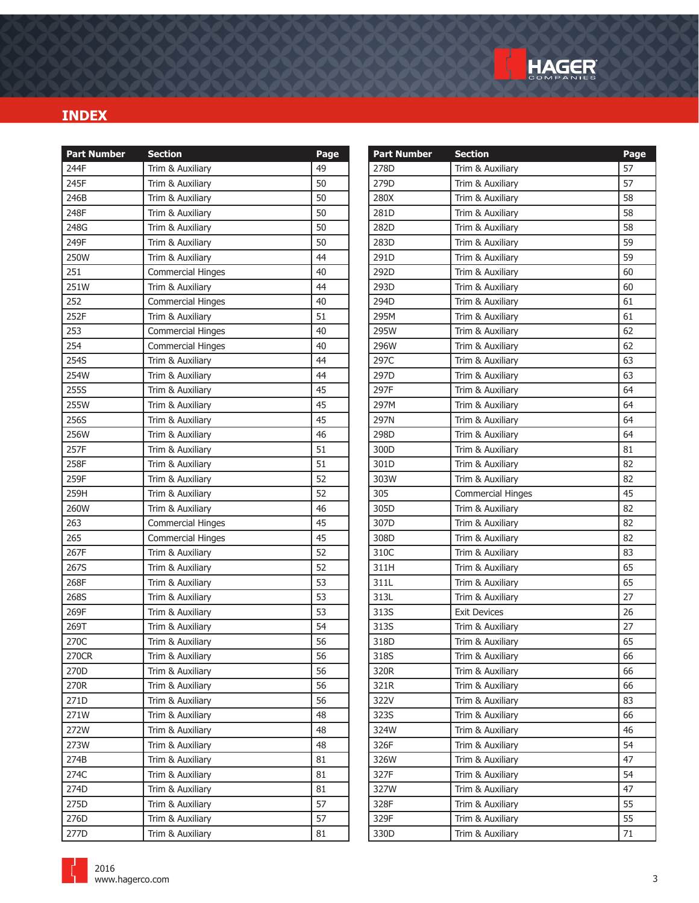

| <b>Part Number</b> | <b>Section</b>           | Page | <b>Part Number</b> | <b>Section</b>           | Page   |
|--------------------|--------------------------|------|--------------------|--------------------------|--------|
| 244F               | Trim & Auxiliary         | 49   | 278D               | Trim & Auxiliary         | 57     |
| 245F               | Trim & Auxiliary         | 50   | 279D               | Trim & Auxiliary         | 57     |
| 246B               | Trim & Auxiliary         | 50   | 280X               | Trim & Auxiliary         | 58     |
| 248F               | Trim & Auxiliary         | 50   | 281D               | Trim & Auxiliary         | 58     |
| 248G               | Trim & Auxiliary         | 50   | 282D               | Trim & Auxiliary         | 58     |
| 249F               | Trim & Auxiliary         | 50   | 283D               | Trim & Auxiliary         | 59     |
| 250W               | Trim & Auxiliary         | 44   | 291D               | Trim & Auxiliary         | 59     |
| 251                | <b>Commercial Hinges</b> | 40   | 292D               | Trim & Auxiliary         | 60     |
| 251W               | Trim & Auxiliary         | 44   | 293D               | Trim & Auxiliary         | 60     |
| 252                | <b>Commercial Hinges</b> | 40   | 294D               | Trim & Auxiliary         | 61     |
| 252F               | Trim & Auxiliary         | 51   | 295M               | Trim & Auxiliary         | 61     |
| 253                | <b>Commercial Hinges</b> | 40   | 295W               | Trim & Auxiliary         | 62     |
| 254                | <b>Commercial Hinges</b> | 40   | 296W               | Trim & Auxiliary         | 62     |
| 254S               | Trim & Auxiliary         | 44   | 297C               | Trim & Auxiliary         | 63     |
| 254W               | Trim & Auxiliary         | 44   | 297D               | Trim & Auxiliary         | 63     |
| 255S               | Trim & Auxiliary         | 45   | 297F               | Trim & Auxiliary         | 64     |
| 255W               | Trim & Auxiliary         | 45   | 297M               | Trim & Auxiliary         | 64     |
| 256S               | Trim & Auxiliary         | 45   | 297N               | Trim & Auxiliary         | 64     |
| 256W               | Trim & Auxiliary         | 46   | 298D               | Trim & Auxiliary         | 64     |
| 257F               | Trim & Auxiliary         | 51   | 300D               | Trim & Auxiliary         | 81     |
| 258F               | Trim & Auxiliary         | 51   | 301D               | Trim & Auxiliary         | 82     |
| 259F               | Trim & Auxiliary         | 52   | 303W               | Trim & Auxiliary         | 82     |
| 259H               | Trim & Auxiliary         | 52   | 305                | <b>Commercial Hinges</b> | 45     |
| 260W               | Trim & Auxiliary         | 46   | 305D               | Trim & Auxiliary         | 82     |
| 263                | <b>Commercial Hinges</b> | 45   | 307D               | Trim & Auxiliary         | 82     |
| 265                | <b>Commercial Hinges</b> | 45   | 308D               | Trim & Auxiliary         | 82     |
| 267F               | Trim & Auxiliary         | 52   | 310C               | Trim & Auxiliary         | 83     |
| 267S               | Trim & Auxiliary         | 52   | 311H               | Trim & Auxiliary         | 65     |
| 268F               | Trim & Auxiliary         | 53   | 311L               | Trim & Auxiliary         | 65     |
| 268S               | Trim & Auxiliary         | 53   | 313L               | Trim & Auxiliary         | 27     |
| 269F               | Trim & Auxiliary         | 53   | 313S               | <b>Exit Devices</b>      | 26     |
| 269T               | Trim & Auxiliary         | 54   | 313S               | Trim & Auxiliary         | 27     |
| 270C               | Trim & Auxiliary         | 56   | 318D               | Trim & Auxiliary         | 65     |
| 270CR              | Trim & Auxiliary         | 56   | 318S               | Trim & Auxiliary         | 66     |
| 270D               | Trim & Auxiliary         | 56   | 320R               | Trim & Auxiliary         | 66     |
| 270R               | Trim & Auxiliary         | 56   | 321R               | Trim & Auxiliary         | 66     |
| 271D               | Trim & Auxiliary         | 56   | 322V               | Trim & Auxiliary         | 83     |
| 271W               | Trim & Auxiliary         | 48   | 323S               | Trim & Auxiliary         | 66     |
| 272W               | Trim & Auxiliary         | 48   | 324W               | Trim & Auxiliary         | 46     |
| 273W               | Trim & Auxiliary         | 48   | 326F               | Trim & Auxiliary         | 54     |
| 274B               | Trim & Auxiliary         | 81   | 326W               | Trim & Auxiliary         | 47     |
| 274C               | Trim & Auxiliary         | 81   | 327F               | Trim & Auxiliary         | 54     |
| 274D               | Trim & Auxiliary         | 81   | 327W               | Trim & Auxiliary         | 47     |
| 275D               | Trim & Auxiliary         | 57   | 328F               | Trim & Auxiliary         | 55     |
| 276D               | Trim & Auxiliary         | 57   | 329F               | Trim & Auxiliary         | 55     |
| 277D               | Trim & Auxiliary         | 81   | 330D               | Trim & Auxiliary         | $71\,$ |

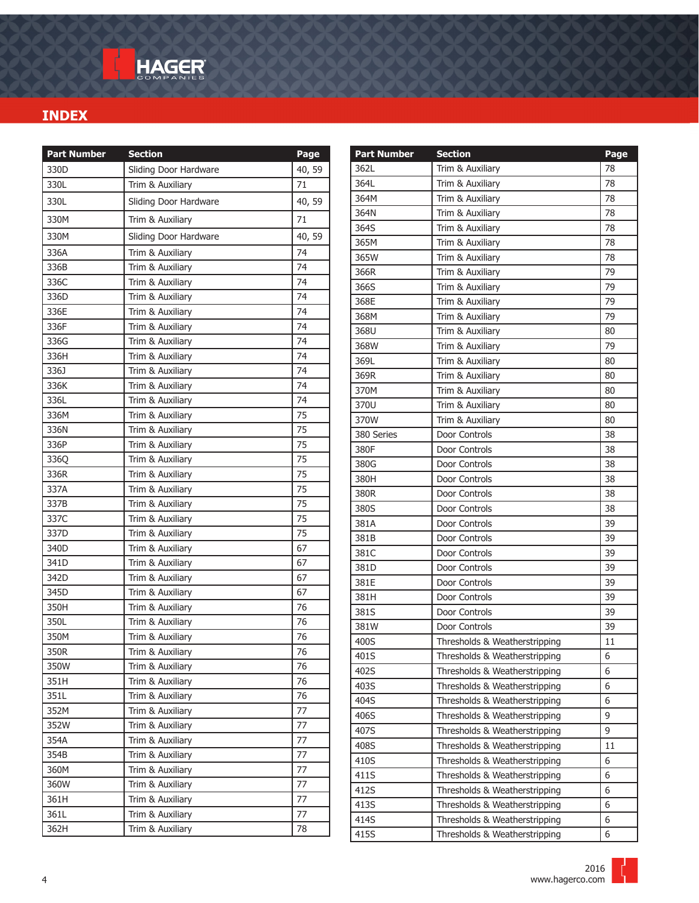| Sliding Door Hardware<br>330D<br>40,59<br>Trim & Auxiliary<br>71<br>330L<br>330L<br>Sliding Door Hardware<br>40,59<br>71<br>330M<br>Trim & Auxiliary<br>330M<br>Sliding Door Hardware<br>40,59<br>74<br>336A<br>Trim & Auxiliary<br>74<br>336B<br>Trim & Auxiliary<br>74<br>336C<br>Trim & Auxiliary<br>336D<br>74<br>Trim & Auxiliary<br>336E<br>74<br>Trim & Auxiliary<br>336F<br>74<br>Trim & Auxiliary<br>336G<br>74<br>Trim & Auxiliary<br>336H<br>74<br>Trim & Auxiliary<br>74<br>336J<br>Trim & Auxiliary<br>336K<br>74<br>Trim & Auxiliary<br>74<br>336L<br>Trim & Auxiliary<br>336M<br>75<br>Trim & Auxiliary<br>336N<br>75<br>Trim & Auxiliary<br>336P<br>75<br>Trim & Auxiliary<br><b>3360</b><br>Trim & Auxiliary<br>75<br>75<br>336R<br>Trim & Auxiliary<br>337A<br>Trim & Auxiliary<br>75<br>337B<br>Trim & Auxiliary<br>75<br>337C<br>75<br>Trim & Auxiliary<br>337D<br>75<br>Trim & Auxiliary<br>67<br>340D<br>Trim & Auxiliary<br>Trim & Auxiliary<br>341D<br>67<br>342D<br>Trim & Auxiliary<br>67<br>345D<br>Trim & Auxiliary<br>67<br>350H<br>Trim & Auxiliary<br>76<br>350L<br>76<br>Trim & Auxiliary<br>350M<br>Trim & Auxiliary<br>76<br>Trim & Auxiliary<br>350R<br>76<br>350W<br>Trim & Auxiliary<br>76<br>Trim & Auxiliary<br>76<br>351H<br>351L<br>Trim & Auxiliary<br>76<br>352M<br>Trim & Auxiliary<br>77<br>352W<br>Trim & Auxiliary<br>$77$<br>Trim & Auxiliary<br>354A<br>77<br>354B<br>Trim & Auxiliary<br>77<br>Trim & Auxiliary<br>360M<br>77<br>360W<br>Trim & Auxiliary<br>77<br>Trim & Auxiliary<br>77<br>361H<br>361L<br>Trim & Auxiliary<br>77<br>362H<br>Trim & Auxiliary<br>78 | <b>Part Number</b> | <b>Section</b> | Page |
|-------------------------------------------------------------------------------------------------------------------------------------------------------------------------------------------------------------------------------------------------------------------------------------------------------------------------------------------------------------------------------------------------------------------------------------------------------------------------------------------------------------------------------------------------------------------------------------------------------------------------------------------------------------------------------------------------------------------------------------------------------------------------------------------------------------------------------------------------------------------------------------------------------------------------------------------------------------------------------------------------------------------------------------------------------------------------------------------------------------------------------------------------------------------------------------------------------------------------------------------------------------------------------------------------------------------------------------------------------------------------------------------------------------------------------------------------------------------------------------------------------------------------------------------------------------------------------------------------------------------------|--------------------|----------------|------|
|                                                                                                                                                                                                                                                                                                                                                                                                                                                                                                                                                                                                                                                                                                                                                                                                                                                                                                                                                                                                                                                                                                                                                                                                                                                                                                                                                                                                                                                                                                                                                                                                                         |                    |                |      |
|                                                                                                                                                                                                                                                                                                                                                                                                                                                                                                                                                                                                                                                                                                                                                                                                                                                                                                                                                                                                                                                                                                                                                                                                                                                                                                                                                                                                                                                                                                                                                                                                                         |                    |                |      |
|                                                                                                                                                                                                                                                                                                                                                                                                                                                                                                                                                                                                                                                                                                                                                                                                                                                                                                                                                                                                                                                                                                                                                                                                                                                                                                                                                                                                                                                                                                                                                                                                                         |                    |                |      |
|                                                                                                                                                                                                                                                                                                                                                                                                                                                                                                                                                                                                                                                                                                                                                                                                                                                                                                                                                                                                                                                                                                                                                                                                                                                                                                                                                                                                                                                                                                                                                                                                                         |                    |                |      |
|                                                                                                                                                                                                                                                                                                                                                                                                                                                                                                                                                                                                                                                                                                                                                                                                                                                                                                                                                                                                                                                                                                                                                                                                                                                                                                                                                                                                                                                                                                                                                                                                                         |                    |                |      |
|                                                                                                                                                                                                                                                                                                                                                                                                                                                                                                                                                                                                                                                                                                                                                                                                                                                                                                                                                                                                                                                                                                                                                                                                                                                                                                                                                                                                                                                                                                                                                                                                                         |                    |                |      |
|                                                                                                                                                                                                                                                                                                                                                                                                                                                                                                                                                                                                                                                                                                                                                                                                                                                                                                                                                                                                                                                                                                                                                                                                                                                                                                                                                                                                                                                                                                                                                                                                                         |                    |                |      |
|                                                                                                                                                                                                                                                                                                                                                                                                                                                                                                                                                                                                                                                                                                                                                                                                                                                                                                                                                                                                                                                                                                                                                                                                                                                                                                                                                                                                                                                                                                                                                                                                                         |                    |                |      |
|                                                                                                                                                                                                                                                                                                                                                                                                                                                                                                                                                                                                                                                                                                                                                                                                                                                                                                                                                                                                                                                                                                                                                                                                                                                                                                                                                                                                                                                                                                                                                                                                                         |                    |                |      |
|                                                                                                                                                                                                                                                                                                                                                                                                                                                                                                                                                                                                                                                                                                                                                                                                                                                                                                                                                                                                                                                                                                                                                                                                                                                                                                                                                                                                                                                                                                                                                                                                                         |                    |                |      |
|                                                                                                                                                                                                                                                                                                                                                                                                                                                                                                                                                                                                                                                                                                                                                                                                                                                                                                                                                                                                                                                                                                                                                                                                                                                                                                                                                                                                                                                                                                                                                                                                                         |                    |                |      |
|                                                                                                                                                                                                                                                                                                                                                                                                                                                                                                                                                                                                                                                                                                                                                                                                                                                                                                                                                                                                                                                                                                                                                                                                                                                                                                                                                                                                                                                                                                                                                                                                                         |                    |                |      |
|                                                                                                                                                                                                                                                                                                                                                                                                                                                                                                                                                                                                                                                                                                                                                                                                                                                                                                                                                                                                                                                                                                                                                                                                                                                                                                                                                                                                                                                                                                                                                                                                                         |                    |                |      |
|                                                                                                                                                                                                                                                                                                                                                                                                                                                                                                                                                                                                                                                                                                                                                                                                                                                                                                                                                                                                                                                                                                                                                                                                                                                                                                                                                                                                                                                                                                                                                                                                                         |                    |                |      |
|                                                                                                                                                                                                                                                                                                                                                                                                                                                                                                                                                                                                                                                                                                                                                                                                                                                                                                                                                                                                                                                                                                                                                                                                                                                                                                                                                                                                                                                                                                                                                                                                                         |                    |                |      |
|                                                                                                                                                                                                                                                                                                                                                                                                                                                                                                                                                                                                                                                                                                                                                                                                                                                                                                                                                                                                                                                                                                                                                                                                                                                                                                                                                                                                                                                                                                                                                                                                                         |                    |                |      |
|                                                                                                                                                                                                                                                                                                                                                                                                                                                                                                                                                                                                                                                                                                                                                                                                                                                                                                                                                                                                                                                                                                                                                                                                                                                                                                                                                                                                                                                                                                                                                                                                                         |                    |                |      |
|                                                                                                                                                                                                                                                                                                                                                                                                                                                                                                                                                                                                                                                                                                                                                                                                                                                                                                                                                                                                                                                                                                                                                                                                                                                                                                                                                                                                                                                                                                                                                                                                                         |                    |                |      |
|                                                                                                                                                                                                                                                                                                                                                                                                                                                                                                                                                                                                                                                                                                                                                                                                                                                                                                                                                                                                                                                                                                                                                                                                                                                                                                                                                                                                                                                                                                                                                                                                                         |                    |                |      |
|                                                                                                                                                                                                                                                                                                                                                                                                                                                                                                                                                                                                                                                                                                                                                                                                                                                                                                                                                                                                                                                                                                                                                                                                                                                                                                                                                                                                                                                                                                                                                                                                                         |                    |                |      |
|                                                                                                                                                                                                                                                                                                                                                                                                                                                                                                                                                                                                                                                                                                                                                                                                                                                                                                                                                                                                                                                                                                                                                                                                                                                                                                                                                                                                                                                                                                                                                                                                                         |                    |                |      |
|                                                                                                                                                                                                                                                                                                                                                                                                                                                                                                                                                                                                                                                                                                                                                                                                                                                                                                                                                                                                                                                                                                                                                                                                                                                                                                                                                                                                                                                                                                                                                                                                                         |                    |                |      |
|                                                                                                                                                                                                                                                                                                                                                                                                                                                                                                                                                                                                                                                                                                                                                                                                                                                                                                                                                                                                                                                                                                                                                                                                                                                                                                                                                                                                                                                                                                                                                                                                                         |                    |                |      |
|                                                                                                                                                                                                                                                                                                                                                                                                                                                                                                                                                                                                                                                                                                                                                                                                                                                                                                                                                                                                                                                                                                                                                                                                                                                                                                                                                                                                                                                                                                                                                                                                                         |                    |                |      |
|                                                                                                                                                                                                                                                                                                                                                                                                                                                                                                                                                                                                                                                                                                                                                                                                                                                                                                                                                                                                                                                                                                                                                                                                                                                                                                                                                                                                                                                                                                                                                                                                                         |                    |                |      |
|                                                                                                                                                                                                                                                                                                                                                                                                                                                                                                                                                                                                                                                                                                                                                                                                                                                                                                                                                                                                                                                                                                                                                                                                                                                                                                                                                                                                                                                                                                                                                                                                                         |                    |                |      |
|                                                                                                                                                                                                                                                                                                                                                                                                                                                                                                                                                                                                                                                                                                                                                                                                                                                                                                                                                                                                                                                                                                                                                                                                                                                                                                                                                                                                                                                                                                                                                                                                                         |                    |                |      |
|                                                                                                                                                                                                                                                                                                                                                                                                                                                                                                                                                                                                                                                                                                                                                                                                                                                                                                                                                                                                                                                                                                                                                                                                                                                                                                                                                                                                                                                                                                                                                                                                                         |                    |                |      |
|                                                                                                                                                                                                                                                                                                                                                                                                                                                                                                                                                                                                                                                                                                                                                                                                                                                                                                                                                                                                                                                                                                                                                                                                                                                                                                                                                                                                                                                                                                                                                                                                                         |                    |                |      |
|                                                                                                                                                                                                                                                                                                                                                                                                                                                                                                                                                                                                                                                                                                                                                                                                                                                                                                                                                                                                                                                                                                                                                                                                                                                                                                                                                                                                                                                                                                                                                                                                                         |                    |                |      |
|                                                                                                                                                                                                                                                                                                                                                                                                                                                                                                                                                                                                                                                                                                                                                                                                                                                                                                                                                                                                                                                                                                                                                                                                                                                                                                                                                                                                                                                                                                                                                                                                                         |                    |                |      |
|                                                                                                                                                                                                                                                                                                                                                                                                                                                                                                                                                                                                                                                                                                                                                                                                                                                                                                                                                                                                                                                                                                                                                                                                                                                                                                                                                                                                                                                                                                                                                                                                                         |                    |                |      |
|                                                                                                                                                                                                                                                                                                                                                                                                                                                                                                                                                                                                                                                                                                                                                                                                                                                                                                                                                                                                                                                                                                                                                                                                                                                                                                                                                                                                                                                                                                                                                                                                                         |                    |                |      |
|                                                                                                                                                                                                                                                                                                                                                                                                                                                                                                                                                                                                                                                                                                                                                                                                                                                                                                                                                                                                                                                                                                                                                                                                                                                                                                                                                                                                                                                                                                                                                                                                                         |                    |                |      |
|                                                                                                                                                                                                                                                                                                                                                                                                                                                                                                                                                                                                                                                                                                                                                                                                                                                                                                                                                                                                                                                                                                                                                                                                                                                                                                                                                                                                                                                                                                                                                                                                                         |                    |                |      |
|                                                                                                                                                                                                                                                                                                                                                                                                                                                                                                                                                                                                                                                                                                                                                                                                                                                                                                                                                                                                                                                                                                                                                                                                                                                                                                                                                                                                                                                                                                                                                                                                                         |                    |                |      |
|                                                                                                                                                                                                                                                                                                                                                                                                                                                                                                                                                                                                                                                                                                                                                                                                                                                                                                                                                                                                                                                                                                                                                                                                                                                                                                                                                                                                                                                                                                                                                                                                                         |                    |                |      |
|                                                                                                                                                                                                                                                                                                                                                                                                                                                                                                                                                                                                                                                                                                                                                                                                                                                                                                                                                                                                                                                                                                                                                                                                                                                                                                                                                                                                                                                                                                                                                                                                                         |                    |                |      |
|                                                                                                                                                                                                                                                                                                                                                                                                                                                                                                                                                                                                                                                                                                                                                                                                                                                                                                                                                                                                                                                                                                                                                                                                                                                                                                                                                                                                                                                                                                                                                                                                                         |                    |                |      |
|                                                                                                                                                                                                                                                                                                                                                                                                                                                                                                                                                                                                                                                                                                                                                                                                                                                                                                                                                                                                                                                                                                                                                                                                                                                                                                                                                                                                                                                                                                                                                                                                                         |                    |                |      |
|                                                                                                                                                                                                                                                                                                                                                                                                                                                                                                                                                                                                                                                                                                                                                                                                                                                                                                                                                                                                                                                                                                                                                                                                                                                                                                                                                                                                                                                                                                                                                                                                                         |                    |                |      |
|                                                                                                                                                                                                                                                                                                                                                                                                                                                                                                                                                                                                                                                                                                                                                                                                                                                                                                                                                                                                                                                                                                                                                                                                                                                                                                                                                                                                                                                                                                                                                                                                                         |                    |                |      |
|                                                                                                                                                                                                                                                                                                                                                                                                                                                                                                                                                                                                                                                                                                                                                                                                                                                                                                                                                                                                                                                                                                                                                                                                                                                                                                                                                                                                                                                                                                                                                                                                                         |                    |                |      |
|                                                                                                                                                                                                                                                                                                                                                                                                                                                                                                                                                                                                                                                                                                                                                                                                                                                                                                                                                                                                                                                                                                                                                                                                                                                                                                                                                                                                                                                                                                                                                                                                                         |                    |                |      |
|                                                                                                                                                                                                                                                                                                                                                                                                                                                                                                                                                                                                                                                                                                                                                                                                                                                                                                                                                                                                                                                                                                                                                                                                                                                                                                                                                                                                                                                                                                                                                                                                                         |                    |                |      |

| <b>Part Number</b> | <b>Section</b>                | Page |
|--------------------|-------------------------------|------|
| 362L               | Trim & Auxiliary              | 78   |
| 364L               | Trim & Auxiliary              | 78   |
| 364M               | Trim & Auxiliary              | 78   |
| 364N               | Trim & Auxiliary              | 78   |
| 364S               | Trim & Auxiliary              | 78   |
| 365M               | Trim & Auxiliary              | 78   |
| 365W               | Trim & Auxiliary              | 78   |
| 366R               | Trim & Auxiliary              | 79   |
| 366S               | Trim & Auxiliary              | 79   |
| 368E               | Trim & Auxiliary              | 79   |
| 368M               | Trim & Auxiliary              | 79   |
| 368U               | Trim & Auxiliary              | 80   |
| 368W               | Trim & Auxiliary              | 79   |
| 369L               | Trim & Auxiliary              | 80   |
| 369R               | Trim & Auxiliary              | 80   |
| 370M               | Trim & Auxiliary              | 80   |
| 370U               | Trim & Auxiliary              | 80   |
| 370W               | Trim & Auxiliary              | 80   |
| 380 Series         | Door Controls                 | 38   |
| 380F               | Door Controls                 | 38   |
| 380G               | Door Controls                 | 38   |
| 380H               | Door Controls                 | 38   |
| 380R               | Door Controls                 | 38   |
| 380S               | Door Controls                 | 38   |
| 381A               | Door Controls                 | 39   |
| 381B               | Door Controls                 | 39   |
| 381C               | Door Controls                 | 39   |
| 381D               | Door Controls                 | 39   |
| 381E               | Door Controls                 | 39   |
| 381H               | Door Controls                 | 39   |
| 381S               | Door Controls                 | 39   |
| 381W               | Door Controls                 | 39   |
| 400S               | Thresholds & Weatherstripping | 11   |
| 401S               | Thresholds & Weatherstripping | 6    |
| 402S               | Thresholds & Weatherstripping | 6    |
| 403S               | Thresholds & Weatherstripping | 6    |
| 404S               | Thresholds & Weatherstripping | 6    |
| 406S               | Thresholds & Weatherstripping | 9    |
| 407S               | Thresholds & Weatherstripping | 9    |
| 408S               | Thresholds & Weatherstripping | 11   |
| 410S               | Thresholds & Weatherstripping | 6    |
| 411S               | Thresholds & Weatherstripping | 6    |
| 412S               | Thresholds & Weatherstripping | 6    |
| 413S               | Thresholds & Weatherstripping | 6    |
| 414S               | Thresholds & Weatherstripping | 6    |
| 415S               | Thresholds & Weatherstripping | 6    |

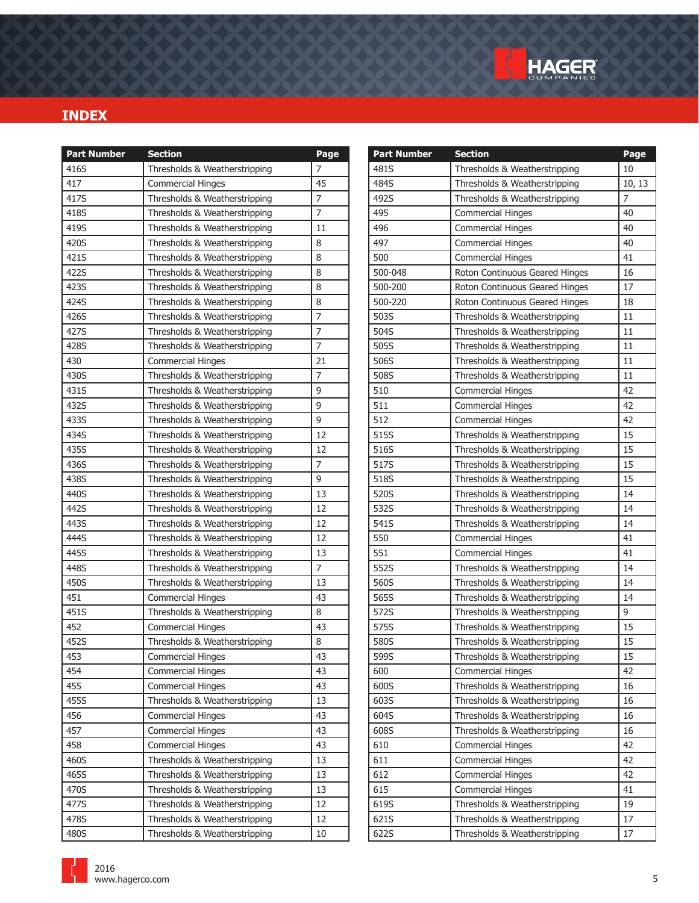

 $10, 13$ 

| <b>Part Number</b> | <b>Section</b>                | Page           | <b>Part Number</b> | <b>Section</b>                 | Page           |
|--------------------|-------------------------------|----------------|--------------------|--------------------------------|----------------|
| 416S               | Thresholds & Weatherstripping | $\overline{7}$ | 481S               | Thresholds & Weatherstripping  | 10             |
| 417                | <b>Commercial Hinges</b>      | 45             | 484S               | Thresholds & Weatherstripping  | 10, 11         |
| 417S               | Thresholds & Weatherstripping | $\overline{7}$ | 492S               | Thresholds & Weatherstripping  | $\overline{7}$ |
| 418S               | Thresholds & Weatherstripping | $\overline{7}$ | 495                | <b>Commercial Hinges</b>       | 40             |
| 419S               | Thresholds & Weatherstripping | 11             | 496                | <b>Commercial Hinges</b>       | 40             |
| 420S               | Thresholds & Weatherstripping | 8              | 497                | <b>Commercial Hinges</b>       | 40             |
| 421S               | Thresholds & Weatherstripping | 8              | 500                | <b>Commercial Hinges</b>       | 41             |
| 422S               | Thresholds & Weatherstripping | 8              | 500-048            | Roton Continuous Geared Hinges | 16             |
| 423S               | Thresholds & Weatherstripping | 8              | 500-200            | Roton Continuous Geared Hinges | 17             |
| 424S               | Thresholds & Weatherstripping | 8              | 500-220            | Roton Continuous Geared Hinges | 18             |
| 426S               | Thresholds & Weatherstripping | $\overline{7}$ | 503S               | Thresholds & Weatherstripping  | 11             |
| 427S               | Thresholds & Weatherstripping | $\overline{7}$ | 504S               | Thresholds & Weatherstripping  | 11             |
| 428S               | Thresholds & Weatherstripping | $\overline{7}$ | 505S               | Thresholds & Weatherstripping  | 11             |
| 430                | <b>Commercial Hinges</b>      | 21             | 506S               | Thresholds & Weatherstripping  | 11             |
| 430S               | Thresholds & Weatherstripping | $\overline{7}$ | 508S               | Thresholds & Weatherstripping  | 11             |
| 431S               | Thresholds & Weatherstripping | 9              | 510                | <b>Commercial Hinges</b>       | 42             |
| 432S               | Thresholds & Weatherstripping | 9              | 511                | <b>Commercial Hinges</b>       | 42             |
| 433S               | Thresholds & Weatherstripping | 9              | 512                | <b>Commercial Hinges</b>       | 42             |
| 434S               | Thresholds & Weatherstripping | 12             | 515S               | Thresholds & Weatherstripping  | 15             |
| 435S               | Thresholds & Weatherstripping | 12             | 516S               | Thresholds & Weatherstripping  | 15             |
| 436S               | Thresholds & Weatherstripping | $\overline{7}$ | 517S               | Thresholds & Weatherstripping  | 15             |
| 438S               | Thresholds & Weatherstripping | 9              | 518S               | Thresholds & Weatherstripping  | 15             |
| 440S               | Thresholds & Weatherstripping | 13             | 520S               | Thresholds & Weatherstripping  | 14             |
| 442S               | Thresholds & Weatherstripping | 12             | 532S               | Thresholds & Weatherstripping  | 14             |
| 443S               | Thresholds & Weatherstripping | 12             | 541S               | Thresholds & Weatherstripping  | 14             |
| 444S               | Thresholds & Weatherstripping | 12             | 550                | <b>Commercial Hinges</b>       | 41             |
| 445S               | Thresholds & Weatherstripping | 13             | 551                | <b>Commercial Hinges</b>       | 41             |
| 448S               | Thresholds & Weatherstripping | $\overline{7}$ | 552S               | Thresholds & Weatherstripping  | 14             |
| 450S               | Thresholds & Weatherstripping | 13             | 560S               | Thresholds & Weatherstripping  | 14             |
| 451                | <b>Commercial Hinges</b>      | 43             | 565S               | Thresholds & Weatherstripping  | 14             |
| 451S               | Thresholds & Weatherstripping | 8              | 572S               | Thresholds & Weatherstripping  | 9              |
| 452                | <b>Commercial Hinges</b>      | 43             | 575S               | Thresholds & Weatherstripping  | 15             |
| 452S               | Thresholds & Weatherstripping | 8              | 580S               | Thresholds & Weatherstripping  | 15             |
| 453                | <b>Commercial Hinges</b>      | 43             | 599S               | Thresholds & Weatherstripping  | 15             |
| 454                | <b>Commercial Hinges</b>      | 43             | 600                | <b>Commercial Hinges</b>       | 42             |
| 455                | <b>Commercial Hinges</b>      | 43             | 600S               | Thresholds & Weatherstripping  | 16             |
| 455S               | Thresholds & Weatherstripping | 13             | 603S               | Thresholds & Weatherstripping  | 16             |
| 456                | <b>Commercial Hinges</b>      | 43             | 604S               | Thresholds & Weatherstripping  | 16             |
| 457                | <b>Commercial Hinges</b>      | 43             | 608S               | Thresholds & Weatherstripping  | 16             |
| 458                | <b>Commercial Hinges</b>      | 43             | 610                | <b>Commercial Hinges</b>       | 42             |
| 460S               | Thresholds & Weatherstripping | 13             | 611                | <b>Commercial Hinges</b>       | 42             |
| 465S               | Thresholds & Weatherstripping | 13             | 612                | <b>Commercial Hinges</b>       | 42             |
| 470S               | Thresholds & Weatherstripping | 13             | 615                | Commercial Hinges              | 41             |
| 477S               | Thresholds & Weatherstripping | 12             | 619S               | Thresholds & Weatherstripping  | 19             |
| 478S               | Thresholds & Weatherstripping | 12             | 621S               | Thresholds & Weatherstripping  | 17             |
| 480S               | Thresholds & Weatherstripping | 10             | 622S               | Thresholds & Weatherstripping  | 17             |
|                    |                               |                |                    |                                |                |

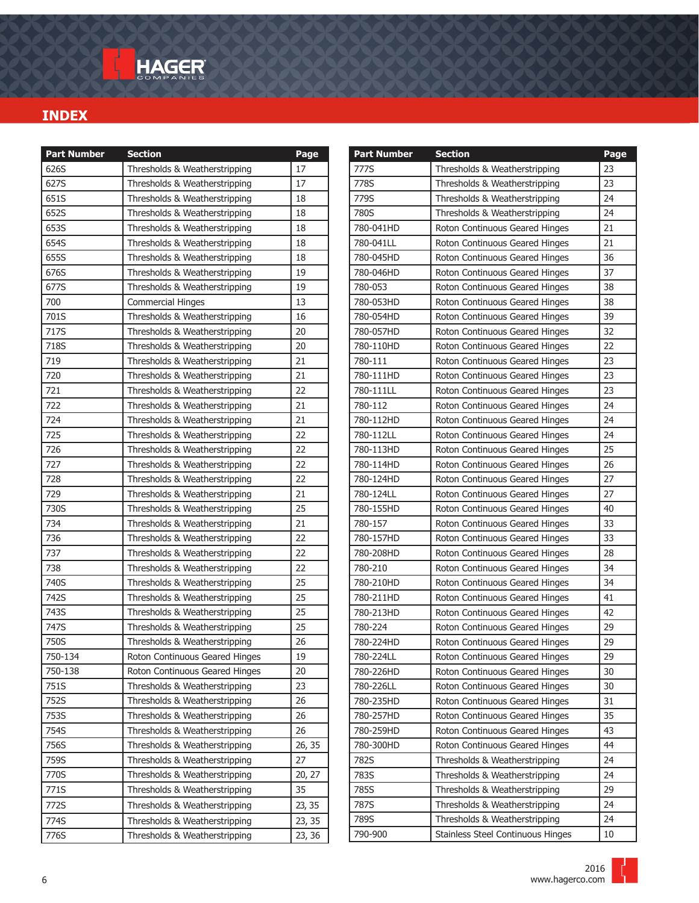| 626S<br>Thresholds & Weatherstripping<br>17<br>627S<br>Thresholds & Weatherstripping<br>17<br>651S<br>Thresholds & Weatherstripping<br>18<br>652S<br>Thresholds & Weatherstripping<br>18<br>653S<br>Thresholds & Weatherstripping<br>18<br>654S<br>Thresholds & Weatherstripping<br>18<br>655S<br>Thresholds & Weatherstripping<br>18<br>676S<br>Thresholds & Weatherstripping<br>19<br>677S<br>Thresholds & Weatherstripping<br>19<br>13<br>700<br><b>Commercial Hinges</b><br>701S<br>Thresholds & Weatherstripping<br>16<br>717S<br>20<br>Thresholds & Weatherstripping<br>718S<br>20<br>Thresholds & Weatherstripping<br>719<br>Thresholds & Weatherstripping<br>21<br>720<br>Thresholds & Weatherstripping<br>21<br>721<br>Thresholds & Weatherstripping<br>22<br>21<br>722<br>Thresholds & Weatherstripping<br>724<br>Thresholds & Weatherstripping<br>21<br>725<br>Thresholds & Weatherstripping<br>22<br>726<br>Thresholds & Weatherstripping<br>22<br>727<br>Thresholds & Weatherstripping<br>22<br>Thresholds & Weatherstripping<br>728<br>22<br>729<br>21<br>Thresholds & Weatherstripping<br>730S<br>25<br>Thresholds & Weatherstripping<br>734<br>Thresholds & Weatherstripping<br>21<br>736<br>22<br>Thresholds & Weatherstripping<br>737<br>Thresholds & Weatherstripping<br>22<br>738<br>Thresholds & Weatherstripping<br>22<br>25<br>740S<br>Thresholds & Weatherstripping<br>742S<br>Thresholds & Weatherstripping<br>25<br>743S<br>25<br>Thresholds & Weatherstripping<br>747S<br>25<br>Thresholds & Weatherstripping<br>750S<br>26<br>Thresholds & Weatherstripping<br>750-134<br>19<br>Roton Continuous Geared Hinges<br>750-138<br>Roton Continuous Geared Hinges<br>20<br>751S<br>Thresholds & Weatherstripping<br>23<br>752S<br>Thresholds & Weatherstripping<br>26<br>753S<br>26<br>Thresholds & Weatherstripping<br>754S<br>Thresholds & Weatherstripping<br>26<br>756S<br>Thresholds & Weatherstripping<br>26, 35<br>759S<br>Thresholds & Weatherstripping<br>27<br>770S<br>Thresholds & Weatherstripping<br>20, 27<br>771S<br>35<br>Thresholds & Weatherstripping<br>772S<br>23, 35<br>Thresholds & Weatherstripping<br>774S<br>Thresholds & Weatherstripping<br>23, 35<br>776S<br>23, 36<br>Thresholds & Weatherstripping | <b>Part Number</b> | <b>Section</b> | Page |
|--------------------------------------------------------------------------------------------------------------------------------------------------------------------------------------------------------------------------------------------------------------------------------------------------------------------------------------------------------------------------------------------------------------------------------------------------------------------------------------------------------------------------------------------------------------------------------------------------------------------------------------------------------------------------------------------------------------------------------------------------------------------------------------------------------------------------------------------------------------------------------------------------------------------------------------------------------------------------------------------------------------------------------------------------------------------------------------------------------------------------------------------------------------------------------------------------------------------------------------------------------------------------------------------------------------------------------------------------------------------------------------------------------------------------------------------------------------------------------------------------------------------------------------------------------------------------------------------------------------------------------------------------------------------------------------------------------------------------------------------------------------------------------------------------------------------------------------------------------------------------------------------------------------------------------------------------------------------------------------------------------------------------------------------------------------------------------------------------------------------------------------------------------------------------------------------------------------------------------------------------------|--------------------|----------------|------|
|                                                                                                                                                                                                                                                                                                                                                                                                                                                                                                                                                                                                                                                                                                                                                                                                                                                                                                                                                                                                                                                                                                                                                                                                                                                                                                                                                                                                                                                                                                                                                                                                                                                                                                                                                                                                                                                                                                                                                                                                                                                                                                                                                                                                                                                        |                    |                |      |
|                                                                                                                                                                                                                                                                                                                                                                                                                                                                                                                                                                                                                                                                                                                                                                                                                                                                                                                                                                                                                                                                                                                                                                                                                                                                                                                                                                                                                                                                                                                                                                                                                                                                                                                                                                                                                                                                                                                                                                                                                                                                                                                                                                                                                                                        |                    |                |      |
|                                                                                                                                                                                                                                                                                                                                                                                                                                                                                                                                                                                                                                                                                                                                                                                                                                                                                                                                                                                                                                                                                                                                                                                                                                                                                                                                                                                                                                                                                                                                                                                                                                                                                                                                                                                                                                                                                                                                                                                                                                                                                                                                                                                                                                                        |                    |                |      |
|                                                                                                                                                                                                                                                                                                                                                                                                                                                                                                                                                                                                                                                                                                                                                                                                                                                                                                                                                                                                                                                                                                                                                                                                                                                                                                                                                                                                                                                                                                                                                                                                                                                                                                                                                                                                                                                                                                                                                                                                                                                                                                                                                                                                                                                        |                    |                |      |
|                                                                                                                                                                                                                                                                                                                                                                                                                                                                                                                                                                                                                                                                                                                                                                                                                                                                                                                                                                                                                                                                                                                                                                                                                                                                                                                                                                                                                                                                                                                                                                                                                                                                                                                                                                                                                                                                                                                                                                                                                                                                                                                                                                                                                                                        |                    |                |      |
|                                                                                                                                                                                                                                                                                                                                                                                                                                                                                                                                                                                                                                                                                                                                                                                                                                                                                                                                                                                                                                                                                                                                                                                                                                                                                                                                                                                                                                                                                                                                                                                                                                                                                                                                                                                                                                                                                                                                                                                                                                                                                                                                                                                                                                                        |                    |                |      |
|                                                                                                                                                                                                                                                                                                                                                                                                                                                                                                                                                                                                                                                                                                                                                                                                                                                                                                                                                                                                                                                                                                                                                                                                                                                                                                                                                                                                                                                                                                                                                                                                                                                                                                                                                                                                                                                                                                                                                                                                                                                                                                                                                                                                                                                        |                    |                |      |
|                                                                                                                                                                                                                                                                                                                                                                                                                                                                                                                                                                                                                                                                                                                                                                                                                                                                                                                                                                                                                                                                                                                                                                                                                                                                                                                                                                                                                                                                                                                                                                                                                                                                                                                                                                                                                                                                                                                                                                                                                                                                                                                                                                                                                                                        |                    |                |      |
|                                                                                                                                                                                                                                                                                                                                                                                                                                                                                                                                                                                                                                                                                                                                                                                                                                                                                                                                                                                                                                                                                                                                                                                                                                                                                                                                                                                                                                                                                                                                                                                                                                                                                                                                                                                                                                                                                                                                                                                                                                                                                                                                                                                                                                                        |                    |                |      |
|                                                                                                                                                                                                                                                                                                                                                                                                                                                                                                                                                                                                                                                                                                                                                                                                                                                                                                                                                                                                                                                                                                                                                                                                                                                                                                                                                                                                                                                                                                                                                                                                                                                                                                                                                                                                                                                                                                                                                                                                                                                                                                                                                                                                                                                        |                    |                |      |
|                                                                                                                                                                                                                                                                                                                                                                                                                                                                                                                                                                                                                                                                                                                                                                                                                                                                                                                                                                                                                                                                                                                                                                                                                                                                                                                                                                                                                                                                                                                                                                                                                                                                                                                                                                                                                                                                                                                                                                                                                                                                                                                                                                                                                                                        |                    |                |      |
|                                                                                                                                                                                                                                                                                                                                                                                                                                                                                                                                                                                                                                                                                                                                                                                                                                                                                                                                                                                                                                                                                                                                                                                                                                                                                                                                                                                                                                                                                                                                                                                                                                                                                                                                                                                                                                                                                                                                                                                                                                                                                                                                                                                                                                                        |                    |                |      |
|                                                                                                                                                                                                                                                                                                                                                                                                                                                                                                                                                                                                                                                                                                                                                                                                                                                                                                                                                                                                                                                                                                                                                                                                                                                                                                                                                                                                                                                                                                                                                                                                                                                                                                                                                                                                                                                                                                                                                                                                                                                                                                                                                                                                                                                        |                    |                |      |
|                                                                                                                                                                                                                                                                                                                                                                                                                                                                                                                                                                                                                                                                                                                                                                                                                                                                                                                                                                                                                                                                                                                                                                                                                                                                                                                                                                                                                                                                                                                                                                                                                                                                                                                                                                                                                                                                                                                                                                                                                                                                                                                                                                                                                                                        |                    |                |      |
|                                                                                                                                                                                                                                                                                                                                                                                                                                                                                                                                                                                                                                                                                                                                                                                                                                                                                                                                                                                                                                                                                                                                                                                                                                                                                                                                                                                                                                                                                                                                                                                                                                                                                                                                                                                                                                                                                                                                                                                                                                                                                                                                                                                                                                                        |                    |                |      |
|                                                                                                                                                                                                                                                                                                                                                                                                                                                                                                                                                                                                                                                                                                                                                                                                                                                                                                                                                                                                                                                                                                                                                                                                                                                                                                                                                                                                                                                                                                                                                                                                                                                                                                                                                                                                                                                                                                                                                                                                                                                                                                                                                                                                                                                        |                    |                |      |
|                                                                                                                                                                                                                                                                                                                                                                                                                                                                                                                                                                                                                                                                                                                                                                                                                                                                                                                                                                                                                                                                                                                                                                                                                                                                                                                                                                                                                                                                                                                                                                                                                                                                                                                                                                                                                                                                                                                                                                                                                                                                                                                                                                                                                                                        |                    |                |      |
|                                                                                                                                                                                                                                                                                                                                                                                                                                                                                                                                                                                                                                                                                                                                                                                                                                                                                                                                                                                                                                                                                                                                                                                                                                                                                                                                                                                                                                                                                                                                                                                                                                                                                                                                                                                                                                                                                                                                                                                                                                                                                                                                                                                                                                                        |                    |                |      |
|                                                                                                                                                                                                                                                                                                                                                                                                                                                                                                                                                                                                                                                                                                                                                                                                                                                                                                                                                                                                                                                                                                                                                                                                                                                                                                                                                                                                                                                                                                                                                                                                                                                                                                                                                                                                                                                                                                                                                                                                                                                                                                                                                                                                                                                        |                    |                |      |
|                                                                                                                                                                                                                                                                                                                                                                                                                                                                                                                                                                                                                                                                                                                                                                                                                                                                                                                                                                                                                                                                                                                                                                                                                                                                                                                                                                                                                                                                                                                                                                                                                                                                                                                                                                                                                                                                                                                                                                                                                                                                                                                                                                                                                                                        |                    |                |      |
|                                                                                                                                                                                                                                                                                                                                                                                                                                                                                                                                                                                                                                                                                                                                                                                                                                                                                                                                                                                                                                                                                                                                                                                                                                                                                                                                                                                                                                                                                                                                                                                                                                                                                                                                                                                                                                                                                                                                                                                                                                                                                                                                                                                                                                                        |                    |                |      |
|                                                                                                                                                                                                                                                                                                                                                                                                                                                                                                                                                                                                                                                                                                                                                                                                                                                                                                                                                                                                                                                                                                                                                                                                                                                                                                                                                                                                                                                                                                                                                                                                                                                                                                                                                                                                                                                                                                                                                                                                                                                                                                                                                                                                                                                        |                    |                |      |
|                                                                                                                                                                                                                                                                                                                                                                                                                                                                                                                                                                                                                                                                                                                                                                                                                                                                                                                                                                                                                                                                                                                                                                                                                                                                                                                                                                                                                                                                                                                                                                                                                                                                                                                                                                                                                                                                                                                                                                                                                                                                                                                                                                                                                                                        |                    |                |      |
|                                                                                                                                                                                                                                                                                                                                                                                                                                                                                                                                                                                                                                                                                                                                                                                                                                                                                                                                                                                                                                                                                                                                                                                                                                                                                                                                                                                                                                                                                                                                                                                                                                                                                                                                                                                                                                                                                                                                                                                                                                                                                                                                                                                                                                                        |                    |                |      |
|                                                                                                                                                                                                                                                                                                                                                                                                                                                                                                                                                                                                                                                                                                                                                                                                                                                                                                                                                                                                                                                                                                                                                                                                                                                                                                                                                                                                                                                                                                                                                                                                                                                                                                                                                                                                                                                                                                                                                                                                                                                                                                                                                                                                                                                        |                    |                |      |
|                                                                                                                                                                                                                                                                                                                                                                                                                                                                                                                                                                                                                                                                                                                                                                                                                                                                                                                                                                                                                                                                                                                                                                                                                                                                                                                                                                                                                                                                                                                                                                                                                                                                                                                                                                                                                                                                                                                                                                                                                                                                                                                                                                                                                                                        |                    |                |      |
|                                                                                                                                                                                                                                                                                                                                                                                                                                                                                                                                                                                                                                                                                                                                                                                                                                                                                                                                                                                                                                                                                                                                                                                                                                                                                                                                                                                                                                                                                                                                                                                                                                                                                                                                                                                                                                                                                                                                                                                                                                                                                                                                                                                                                                                        |                    |                |      |
|                                                                                                                                                                                                                                                                                                                                                                                                                                                                                                                                                                                                                                                                                                                                                                                                                                                                                                                                                                                                                                                                                                                                                                                                                                                                                                                                                                                                                                                                                                                                                                                                                                                                                                                                                                                                                                                                                                                                                                                                                                                                                                                                                                                                                                                        |                    |                |      |
|                                                                                                                                                                                                                                                                                                                                                                                                                                                                                                                                                                                                                                                                                                                                                                                                                                                                                                                                                                                                                                                                                                                                                                                                                                                                                                                                                                                                                                                                                                                                                                                                                                                                                                                                                                                                                                                                                                                                                                                                                                                                                                                                                                                                                                                        |                    |                |      |
|                                                                                                                                                                                                                                                                                                                                                                                                                                                                                                                                                                                                                                                                                                                                                                                                                                                                                                                                                                                                                                                                                                                                                                                                                                                                                                                                                                                                                                                                                                                                                                                                                                                                                                                                                                                                                                                                                                                                                                                                                                                                                                                                                                                                                                                        |                    |                |      |
|                                                                                                                                                                                                                                                                                                                                                                                                                                                                                                                                                                                                                                                                                                                                                                                                                                                                                                                                                                                                                                                                                                                                                                                                                                                                                                                                                                                                                                                                                                                                                                                                                                                                                                                                                                                                                                                                                                                                                                                                                                                                                                                                                                                                                                                        |                    |                |      |
|                                                                                                                                                                                                                                                                                                                                                                                                                                                                                                                                                                                                                                                                                                                                                                                                                                                                                                                                                                                                                                                                                                                                                                                                                                                                                                                                                                                                                                                                                                                                                                                                                                                                                                                                                                                                                                                                                                                                                                                                                                                                                                                                                                                                                                                        |                    |                |      |
|                                                                                                                                                                                                                                                                                                                                                                                                                                                                                                                                                                                                                                                                                                                                                                                                                                                                                                                                                                                                                                                                                                                                                                                                                                                                                                                                                                                                                                                                                                                                                                                                                                                                                                                                                                                                                                                                                                                                                                                                                                                                                                                                                                                                                                                        |                    |                |      |
|                                                                                                                                                                                                                                                                                                                                                                                                                                                                                                                                                                                                                                                                                                                                                                                                                                                                                                                                                                                                                                                                                                                                                                                                                                                                                                                                                                                                                                                                                                                                                                                                                                                                                                                                                                                                                                                                                                                                                                                                                                                                                                                                                                                                                                                        |                    |                |      |
|                                                                                                                                                                                                                                                                                                                                                                                                                                                                                                                                                                                                                                                                                                                                                                                                                                                                                                                                                                                                                                                                                                                                                                                                                                                                                                                                                                                                                                                                                                                                                                                                                                                                                                                                                                                                                                                                                                                                                                                                                                                                                                                                                                                                                                                        |                    |                |      |
|                                                                                                                                                                                                                                                                                                                                                                                                                                                                                                                                                                                                                                                                                                                                                                                                                                                                                                                                                                                                                                                                                                                                                                                                                                                                                                                                                                                                                                                                                                                                                                                                                                                                                                                                                                                                                                                                                                                                                                                                                                                                                                                                                                                                                                                        |                    |                |      |
|                                                                                                                                                                                                                                                                                                                                                                                                                                                                                                                                                                                                                                                                                                                                                                                                                                                                                                                                                                                                                                                                                                                                                                                                                                                                                                                                                                                                                                                                                                                                                                                                                                                                                                                                                                                                                                                                                                                                                                                                                                                                                                                                                                                                                                                        |                    |                |      |
|                                                                                                                                                                                                                                                                                                                                                                                                                                                                                                                                                                                                                                                                                                                                                                                                                                                                                                                                                                                                                                                                                                                                                                                                                                                                                                                                                                                                                                                                                                                                                                                                                                                                                                                                                                                                                                                                                                                                                                                                                                                                                                                                                                                                                                                        |                    |                |      |
|                                                                                                                                                                                                                                                                                                                                                                                                                                                                                                                                                                                                                                                                                                                                                                                                                                                                                                                                                                                                                                                                                                                                                                                                                                                                                                                                                                                                                                                                                                                                                                                                                                                                                                                                                                                                                                                                                                                                                                                                                                                                                                                                                                                                                                                        |                    |                |      |
|                                                                                                                                                                                                                                                                                                                                                                                                                                                                                                                                                                                                                                                                                                                                                                                                                                                                                                                                                                                                                                                                                                                                                                                                                                                                                                                                                                                                                                                                                                                                                                                                                                                                                                                                                                                                                                                                                                                                                                                                                                                                                                                                                                                                                                                        |                    |                |      |
|                                                                                                                                                                                                                                                                                                                                                                                                                                                                                                                                                                                                                                                                                                                                                                                                                                                                                                                                                                                                                                                                                                                                                                                                                                                                                                                                                                                                                                                                                                                                                                                                                                                                                                                                                                                                                                                                                                                                                                                                                                                                                                                                                                                                                                                        |                    |                |      |
|                                                                                                                                                                                                                                                                                                                                                                                                                                                                                                                                                                                                                                                                                                                                                                                                                                                                                                                                                                                                                                                                                                                                                                                                                                                                                                                                                                                                                                                                                                                                                                                                                                                                                                                                                                                                                                                                                                                                                                                                                                                                                                                                                                                                                                                        |                    |                |      |
|                                                                                                                                                                                                                                                                                                                                                                                                                                                                                                                                                                                                                                                                                                                                                                                                                                                                                                                                                                                                                                                                                                                                                                                                                                                                                                                                                                                                                                                                                                                                                                                                                                                                                                                                                                                                                                                                                                                                                                                                                                                                                                                                                                                                                                                        |                    |                |      |
|                                                                                                                                                                                                                                                                                                                                                                                                                                                                                                                                                                                                                                                                                                                                                                                                                                                                                                                                                                                                                                                                                                                                                                                                                                                                                                                                                                                                                                                                                                                                                                                                                                                                                                                                                                                                                                                                                                                                                                                                                                                                                                                                                                                                                                                        |                    |                |      |
|                                                                                                                                                                                                                                                                                                                                                                                                                                                                                                                                                                                                                                                                                                                                                                                                                                                                                                                                                                                                                                                                                                                                                                                                                                                                                                                                                                                                                                                                                                                                                                                                                                                                                                                                                                                                                                                                                                                                                                                                                                                                                                                                                                                                                                                        |                    |                |      |
|                                                                                                                                                                                                                                                                                                                                                                                                                                                                                                                                                                                                                                                                                                                                                                                                                                                                                                                                                                                                                                                                                                                                                                                                                                                                                                                                                                                                                                                                                                                                                                                                                                                                                                                                                                                                                                                                                                                                                                                                                                                                                                                                                                                                                                                        |                    |                |      |

| <b>Part Number</b> | <b>Section</b>                    | Page |
|--------------------|-----------------------------------|------|
| 777S               | Thresholds & Weatherstripping     | 23   |
| 778S               | Thresholds & Weatherstripping     | 23   |
| 779S               | Thresholds & Weatherstripping     | 24   |
| 780S               | Thresholds & Weatherstripping     | 24   |
| 780-041HD          | Roton Continuous Geared Hinges    | 21   |
| 780-041LL          | Roton Continuous Geared Hinges    | 21   |
| 780-045HD          | Roton Continuous Geared Hinges    | 36   |
| 780-046HD          | Roton Continuous Geared Hinges    | 37   |
| 780-053            | Roton Continuous Geared Hinges    | 38   |
| 780-053HD          | Roton Continuous Geared Hinges    | 38   |
| 780-054HD          | Roton Continuous Geared Hinges    | 39   |
| 780-057HD          | Roton Continuous Geared Hinges    | 32   |
| 780-110HD          | Roton Continuous Geared Hinges    | 22   |
| 780-111            | Roton Continuous Geared Hinges    | 23   |
| 780-111HD          | Roton Continuous Geared Hinges    | 23   |
| 780-111LL          | Roton Continuous Geared Hinges    | 23   |
| 780-112            | Roton Continuous Geared Hinges    | 24   |
| 780-112HD          | Roton Continuous Geared Hinges    | 24   |
| 780-112LL          | Roton Continuous Geared Hinges    | 24   |
| 780-113HD          | Roton Continuous Geared Hinges    | 25   |
| 780-114HD          | Roton Continuous Geared Hinges    | 26   |
| 780-124HD          | Roton Continuous Geared Hinges    | 27   |
| 780-124LL          | Roton Continuous Geared Hinges    | 27   |
| 780-155HD          | Roton Continuous Geared Hinges    | 40   |
| 780-157            | Roton Continuous Geared Hinges    | 33   |
| 780-157HD          | Roton Continuous Geared Hinges    | 33   |
| 780-208HD          | Roton Continuous Geared Hinges    | 28   |
| 780-210            | Roton Continuous Geared Hinges    | 34   |
| 780-210HD          | Roton Continuous Geared Hinges    | 34   |
| 780-211HD          | Roton Continuous Geared Hinges    | 41   |
| 780-213HD          | Roton Continuous Geared Hinges    | 42   |
| 780-224            | Roton Continuous Geared Hinges    | 29   |
| 780-224HD          | Roton Continuous Geared Hinges    | 29   |
| 780-224LL          | Roton Continuous Geared Hinges    | 29   |
| 780-226HD          | Roton Continuous Geared Hinges    | 30   |
| 780-226LL          | Roton Continuous Geared Hinges    | 30   |
| 780-235HD          | Roton Continuous Geared Hinges    | 31   |
| 780-257HD          | Roton Continuous Geared Hinges    | 35   |
| 780-259HD          | Roton Continuous Geared Hinges    | 43   |
| 780-300HD          | Roton Continuous Geared Hinges    | 44   |
| 782S               | Thresholds & Weatherstripping     | 24   |
| 783S               | Thresholds & Weatherstripping     | 24   |
| 785S               | Thresholds & Weatherstripping     | 29   |
| 787S               | Thresholds & Weatherstripping     | 24   |
| 789S               | Thresholds & Weatherstripping     | 24   |
| 790-900            | Stainless Steel Continuous Hinges | 10   |

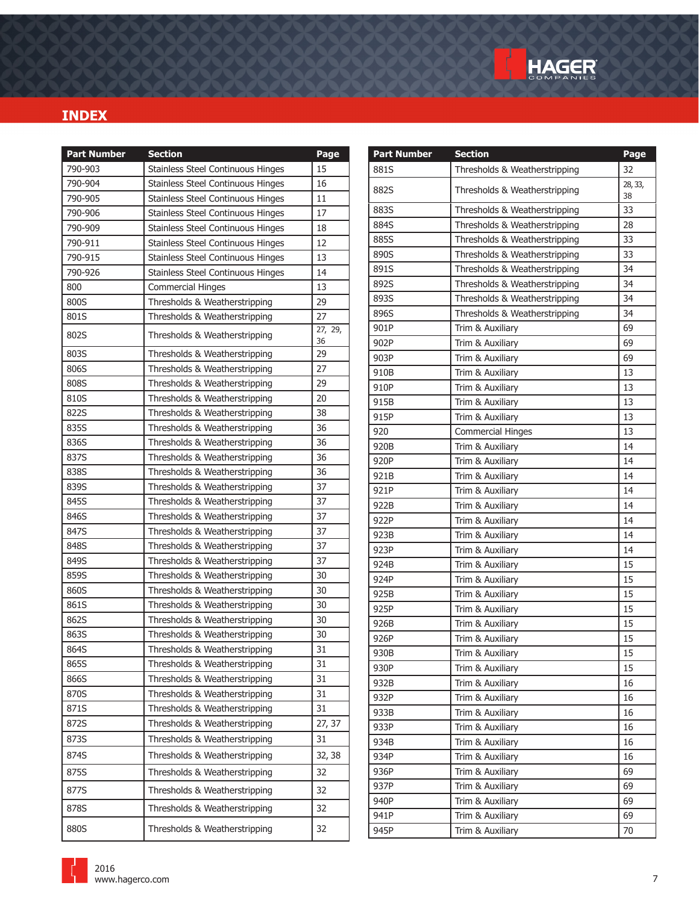

| <b>Part Number</b> | <b>Section</b>                    | Page    | <b>Part Number</b> | <b>Section</b>                | Page    |
|--------------------|-----------------------------------|---------|--------------------|-------------------------------|---------|
| 790-903            | Stainless Steel Continuous Hinges | 15      | 881S               | Thresholds & Weatherstripping | 32      |
| 790-904            | Stainless Steel Continuous Hinges | 16      | 882S               | Thresholds & Weatherstripping | 28, 33, |
| 790-905            | Stainless Steel Continuous Hinges | 11      |                    |                               | 38      |
| 790-906            | Stainless Steel Continuous Hinges | 17      | 883S               | Thresholds & Weatherstripping | 33      |
| 790-909            | Stainless Steel Continuous Hinges | 18      | 884S               | Thresholds & Weatherstripping | 28      |
| 790-911            | Stainless Steel Continuous Hinges | 12      | 885S               | Thresholds & Weatherstripping | 33      |
| 790-915            | Stainless Steel Continuous Hinges | 13      | 890S               | Thresholds & Weatherstripping | 33      |
| 790-926            | Stainless Steel Continuous Hinges | 14      | 891S               | Thresholds & Weatherstripping | 34      |
| 800                | <b>Commercial Hinges</b>          | 13      | 892S               | Thresholds & Weatherstripping | 34      |
| 800S               | Thresholds & Weatherstripping     | 29      | 893S               | Thresholds & Weatherstripping | 34      |
| 801S               | Thresholds & Weatherstripping     | 27      | 896S               | Thresholds & Weatherstripping | 34      |
| 802S               | Thresholds & Weatherstripping     | 27, 29, | 901P               | Trim & Auxiliary              | 69      |
|                    |                                   | 36      | 902P               | Trim & Auxiliary              | 69      |
| 803S               | Thresholds & Weatherstripping     | 29      | 903P               | Trim & Auxiliary              | 69      |
| 806S               | Thresholds & Weatherstripping     | 27      | 910B               | Trim & Auxiliary              | 13      |
| 808S               | Thresholds & Weatherstripping     | 29      | 910P               | Trim & Auxiliary              | 13      |
| 810S               | Thresholds & Weatherstripping     | 20      | 915B               | Trim & Auxiliary              | 13      |
| 822S               | Thresholds & Weatherstripping     | 38      | 915P               | Trim & Auxiliary              | 13      |
| 835S               | Thresholds & Weatherstripping     | 36      | 920                | <b>Commercial Hinges</b>      | 13      |
| 836S               | Thresholds & Weatherstripping     | 36      | 920B               | Trim & Auxiliary              | 14      |
| 837S               | Thresholds & Weatherstripping     | 36      | 920P               | Trim & Auxiliary              | 14      |
| 838S               | Thresholds & Weatherstripping     | 36      | 921B               | Trim & Auxiliary              | 14      |
| 839S               | Thresholds & Weatherstripping     | 37      | 921P               | Trim & Auxiliary              | 14      |
| 845S               | Thresholds & Weatherstripping     | 37      | 922B               | Trim & Auxiliary              | 14      |
| 846S               | Thresholds & Weatherstripping     | 37      | 922P               | Trim & Auxiliary              | 14      |
| 847S               | Thresholds & Weatherstripping     | 37      | 923B               | Trim & Auxiliary              | 14      |
| 848S               | Thresholds & Weatherstripping     | 37      | 923P               | Trim & Auxiliary              | 14      |
| 849S               | Thresholds & Weatherstripping     | 37      | 924B               | Trim & Auxiliary              | 15      |
| 859S               | Thresholds & Weatherstripping     | 30      | 924P               | Trim & Auxiliary              | 15      |
| 860S               | Thresholds & Weatherstripping     | 30      | 925B               | Trim & Auxiliary              | 15      |
| 861S               | Thresholds & Weatherstripping     | 30      | 925P               | Trim & Auxiliary              | 15      |
| 862S               | Thresholds & Weatherstripping     | 30      | 926B               | Trim & Auxiliary              | 15      |
| 863S               | Thresholds & Weatherstripping     | 30      | 926P               | Trim & Auxiliary              | 15      |
| 864S               | Thresholds & Weatherstripping     | 31      | 930B               | Trim & Auxiliary              | 15      |
| 865S               | Thresholds & Weatherstripping     | 31      | 930P               | Trim & Auxiliary              | 15      |
| 866S               | Thresholds & Weatherstripping     | 31      | 932B               | Trim & Auxiliary              | 16      |
| 870S               | Thresholds & Weatherstripping     | 31      | 932P               | Trim & Auxiliary              | 16      |
| 871S               | Thresholds & Weatherstripping     | 31      | 933B               | Trim & Auxiliary              | 16      |
| 872S               | Thresholds & Weatherstripping     | 27, 37  | 933P               | Trim & Auxiliary              | 16      |
| 873S               | Thresholds & Weatherstripping     | 31      | 934B               | Trim & Auxiliary              | 16      |
| 874S               | Thresholds & Weatherstripping     | 32, 38  | 934P               | Trim & Auxiliary              | 16      |
| 875S               | Thresholds & Weatherstripping     | 32      | 936P               | Trim & Auxiliary              | 69      |
| 877S               | Thresholds & Weatherstripping     | 32      | 937P               | Trim & Auxiliary              | 69      |
|                    |                                   |         | 940P               | Trim & Auxiliary              | 69      |
| 878S               | Thresholds & Weatherstripping     | 32      | 941P               | Trim & Auxiliary              | 69      |
| 880S               | Thresholds & Weatherstripping     | 32      | 945P               | Trim & Auxiliary              | 70      |
|                    |                                   |         |                    |                               |         |

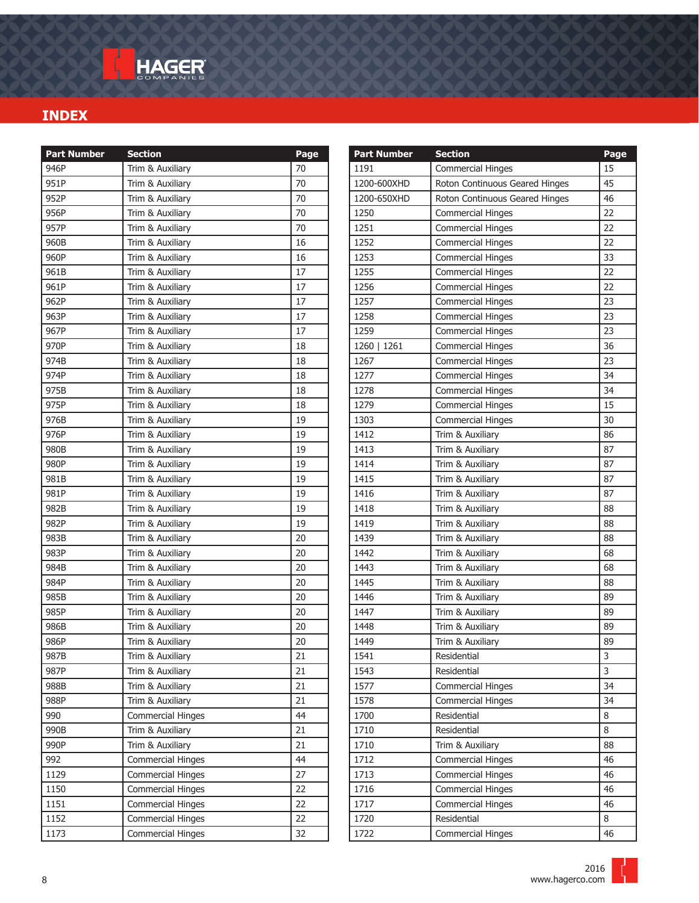| <b>Part Number</b> | <b>Section</b>           | Page |
|--------------------|--------------------------|------|
| 946P               | Trim & Auxiliary         | 70   |
| 951P               | Trim & Auxiliary         | 70   |
| 952P               | Trim & Auxiliary         | 70   |
| 956P               | Trim & Auxiliary         | 70   |
| 957P               | Trim & Auxiliary         | 70   |
| 960B               | Trim & Auxiliary         | 16   |
| 960P               | Trim & Auxiliary         | 16   |
| 961B               | Trim & Auxiliary         | 17   |
| 961P               | Trim & Auxiliary         | 17   |
| 962P               | Trim & Auxiliary         | 17   |
| 963P               | Trim & Auxiliary         | 17   |
| 967P               | Trim & Auxiliary         | 17   |
| 970P               | Trim & Auxiliary         | 18   |
| 974B               | Trim & Auxiliary         | 18   |
| 974P               | Trim & Auxiliary         | 18   |
| 975B               | Trim & Auxiliary         | 18   |
| 975P               | Trim & Auxiliary         | 18   |
| 976B               | Trim & Auxiliary         | 19   |
| 976P               | Trim & Auxiliary         | 19   |
| 980B               | Trim & Auxiliary         | 19   |
| 980P               | Trim & Auxiliary         | 19   |
| 981B               | Trim & Auxiliary         | 19   |
| 981P               | Trim & Auxiliary         | 19   |
| 982B               | Trim & Auxiliary         | 19   |
| 982P               | Trim & Auxiliary         | 19   |
| 983B               | Trim & Auxiliary         | 20   |
| 983P               | Trim & Auxiliary         | 20   |
| 984B               | Trim & Auxiliary         | 20   |
| 984P               | Trim & Auxiliary         | 20   |
| 985B               | Trim & Auxiliary         | 20   |
| 985P               | Trim & Auxiliary         | 20   |
| 986B               | Trim & Auxiliary         | 20   |
| 986P               | Trim & Auxiliary         | 20   |
| 987B               | Trim & Auxiliary         | 21   |
| 987P               | Trim & Auxiliary         | 21   |
| 988B               | Trim & Auxiliary         | 21   |
| 988P               | Trim & Auxiliary         | 21   |
| 990                | <b>Commercial Hinges</b> | 44   |
| 990B               | Trim & Auxiliary         | 21   |
| 990P               | Trim & Auxiliary         | 21   |
| 992                | <b>Commercial Hinges</b> | 44   |
| 1129               | <b>Commercial Hinges</b> | 27   |
| 1150               | Commercial Hinges        | 22   |
| 1151               | <b>Commercial Hinges</b> | 22   |
| 1152               | <b>Commercial Hinges</b> | 22   |
| 1173               | <b>Commercial Hinges</b> | 32   |

| <b>Part Number</b> | <b>Section</b>                 | Page |
|--------------------|--------------------------------|------|
| 1191               | <b>Commercial Hinges</b>       | 15   |
| 1200-600XHD        | Roton Continuous Geared Hinges | 45   |
| 1200-650XHD        | Roton Continuous Geared Hinges | 46   |
| 1250               | <b>Commercial Hinges</b>       | 22   |
| 1251               | <b>Commercial Hinges</b>       | 22   |
| 1252               | <b>Commercial Hinges</b>       | 22   |
| 1253               | <b>Commercial Hinges</b>       | 33   |
| 1255               | <b>Commercial Hinges</b>       | 22   |
| 1256               | <b>Commercial Hinges</b>       | 22   |
| 1257               | <b>Commercial Hinges</b>       | 23   |
| 1258               | <b>Commercial Hinges</b>       | 23   |
| 1259               | <b>Commercial Hinges</b>       | 23   |
| 1260   1261        | <b>Commercial Hinges</b>       | 36   |
| 1267               | <b>Commercial Hinges</b>       | 23   |
| 1277               | <b>Commercial Hinges</b>       | 34   |
| 1278               | <b>Commercial Hinges</b>       | 34   |
| 1279               | <b>Commercial Hinges</b>       | 15   |
| 1303               | <b>Commercial Hinges</b>       | 30   |
| 1412               | Trim & Auxiliary               | 86   |
| 1413               | Trim & Auxiliary               | 87   |
| 1414               | Trim & Auxiliary               | 87   |
| 1415               | Trim & Auxiliary               | 87   |
| 1416               | Trim & Auxiliary               | 87   |
| 1418               | Trim & Auxiliary               | 88   |
| 1419               | Trim & Auxiliary               | 88   |
| 1439               | Trim & Auxiliary               | 88   |
| 1442               | Trim & Auxiliary               | 68   |
| 1443               | Trim & Auxiliary               | 68   |
| 1445               | Trim & Auxiliary               | 88   |
| 1446               | Trim & Auxiliary               | 89   |
| 1447               | Trim & Auxiliary               | 89   |
| 1448               | Trim & Auxiliary               | 89   |
| 1449               | Trim & Auxiliary               | 89   |
| 1541               | Residential                    | 3    |
| 1543               | Residential                    | 3    |
| 1577               | Commercial Hinges              | 34   |
| 1578               | <b>Commercial Hinges</b>       | 34   |
| 1700               | Residential                    | 8    |
| 1710               | Residential                    | 8    |
| 1710               | Trim & Auxiliary               | 88   |
| 1712               | <b>Commercial Hinges</b>       | 46   |
| 1713               | <b>Commercial Hinges</b>       | 46   |
| 1716               | <b>Commercial Hinges</b>       | 46   |
| 1717               | <b>Commercial Hinges</b>       | 46   |
| 1720               | Residential                    | 8    |
| 1722               | <b>Commercial Hinges</b>       | 46   |

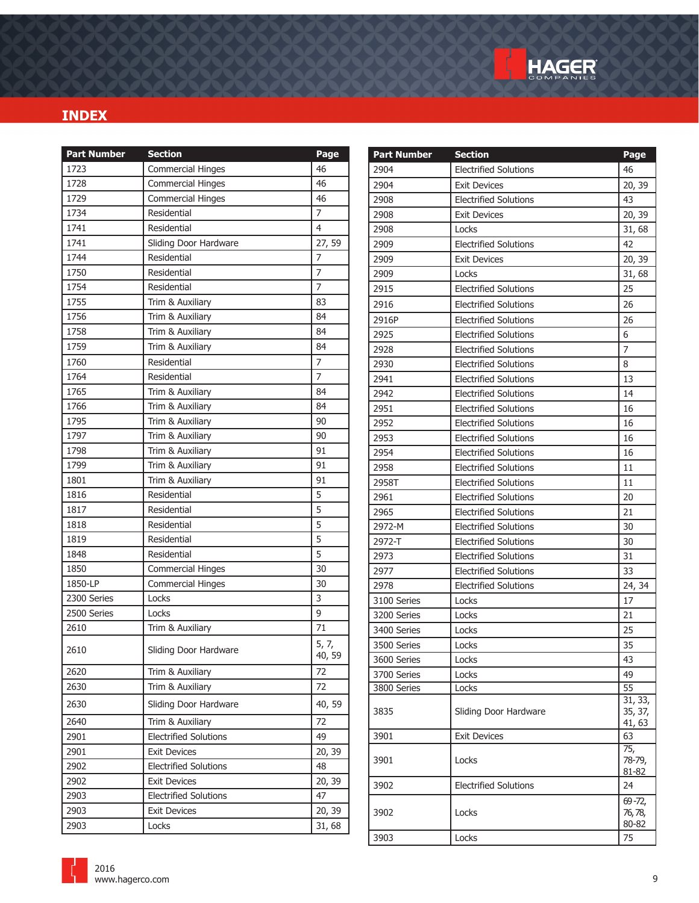

| <b>Part Number</b> | <b>Section</b>               | Page           | <b>Part Number</b> | <b>Section</b>               | Page               |
|--------------------|------------------------------|----------------|--------------------|------------------------------|--------------------|
| 1723               | <b>Commercial Hinges</b>     | 46             | 2904               | <b>Electrified Solutions</b> | 46                 |
| 1728               | <b>Commercial Hinges</b>     | 46             | 2904               | <b>Exit Devices</b>          | 20, 39             |
| 1729               | <b>Commercial Hinges</b>     | 46             | 2908               | <b>Electrified Solutions</b> | 43                 |
| 1734               | Residential                  | 7              | 2908               | <b>Exit Devices</b>          | 20, 39             |
| 1741               | Residential                  | $\overline{4}$ | 2908               | Locks                        | 31,68              |
| 1741               | Sliding Door Hardware        | 27, 59         | 2909               | <b>Electrified Solutions</b> | 42                 |
| 1744               | Residential                  | 7              | 2909               | <b>Exit Devices</b>          | 20, 39             |
| 1750               | Residential                  | $\overline{7}$ | 2909               | Locks                        | 31,68              |
| 1754               | Residential                  | $\overline{7}$ | 2915               | <b>Electrified Solutions</b> | 25                 |
| 1755               | Trim & Auxiliary             | 83             | 2916               | <b>Electrified Solutions</b> | 26                 |
| 1756               | Trim & Auxiliary             | 84             | 2916P              | <b>Electrified Solutions</b> | 26                 |
| 1758               | Trim & Auxiliary             | 84             | 2925               | <b>Electrified Solutions</b> | 6                  |
| 1759               | Trim & Auxiliary             | 84             | 2928               | <b>Electrified Solutions</b> | $\overline{7}$     |
| 1760               | Residential                  | $\overline{7}$ | 2930               | <b>Electrified Solutions</b> | 8                  |
| 1764               | Residential                  | $\overline{7}$ | 2941               | <b>Electrified Solutions</b> | 13                 |
| 1765               | Trim & Auxiliary             | 84             | 2942               | <b>Electrified Solutions</b> | 14                 |
| 1766               | Trim & Auxiliary             | 84             | 2951               | <b>Electrified Solutions</b> | 16                 |
| 1795               | Trim & Auxiliary             | 90             | 2952               | <b>Electrified Solutions</b> | 16                 |
| 1797               | Trim & Auxiliary             | 90             | 2953               | <b>Electrified Solutions</b> | 16                 |
| 1798               | Trim & Auxiliary             | 91             | 2954               | <b>Electrified Solutions</b> | 16                 |
| 1799               | Trim & Auxiliary             | 91             | 2958               | <b>Electrified Solutions</b> | 11                 |
| 1801               | Trim & Auxiliary             | 91             | 2958T              | <b>Electrified Solutions</b> | 11                 |
| 1816               | Residential                  | 5              | 2961               | <b>Electrified Solutions</b> | 20                 |
| 1817               | Residential                  | 5              | 2965               | <b>Electrified Solutions</b> | 21                 |
| 1818               | Residential                  | 5              | 2972-M             | <b>Electrified Solutions</b> | 30                 |
| 1819               | Residential                  | 5              | 2972-T             | <b>Electrified Solutions</b> | 30                 |
| 1848               | Residential                  | 5              | 2973               | <b>Electrified Solutions</b> | 31                 |
| 1850               | <b>Commercial Hinges</b>     | 30             | 2977               | <b>Electrified Solutions</b> | 33                 |
| 1850-LP            | <b>Commercial Hinges</b>     | 30             | 2978               | <b>Electrified Solutions</b> | 24, 34             |
| 2300 Series        | Locks                        | 3              | 3100 Series        | Locks                        | 17                 |
| 2500 Series        | Locks                        | 9              | 3200 Series        | Locks                        | 21                 |
| 2610               | Trim & Auxiliary             | 71             | 3400 Series        | Locks                        | 25                 |
| 2610               | Sliding Door Hardware        | 5, 7,          | 3500 Series        | Locks                        | 35                 |
|                    |                              | 40, 59         | 3600 Series        | Locks                        | 43                 |
| 2620               | Trim & Auxiliary             | 72             | 3700 Series        | Locks                        | 49                 |
| 2630               | Trim & Auxiliary             | 72             | 3800 Series        | Locks                        | $\overline{55}$    |
| 2630               | Sliding Door Hardware        | 40,59          | 3835               | Sliding Door Hardware        | 31, 33,<br>35, 37, |
| 2640               | Trim & Auxiliary             | 72             |                    |                              | 41, 63             |
| 2901               | <b>Electrified Solutions</b> | 49             | 3901               | <b>Exit Devices</b>          | 63                 |
| 2901               | <b>Exit Devices</b>          | 20, 39         |                    |                              | 75,                |
| 2902               | <b>Electrified Solutions</b> | 48             | 3901               | Locks                        | 78-79,<br>81-82    |
| 2902               | <b>Exit Devices</b>          | 20, 39         | 3902               | <b>Electrified Solutions</b> | 24                 |
| 2903               | <b>Electrified Solutions</b> | 47             |                    |                              | $69 - 72,$         |
| 2903               | <b>Exit Devices</b>          | 20, 39         | 3902               | Locks                        | 76, 78,            |
| 2903               | Locks                        | 31,68          |                    |                              | 80-82              |
|                    |                              |                | 3903               | Locks                        | 75                 |

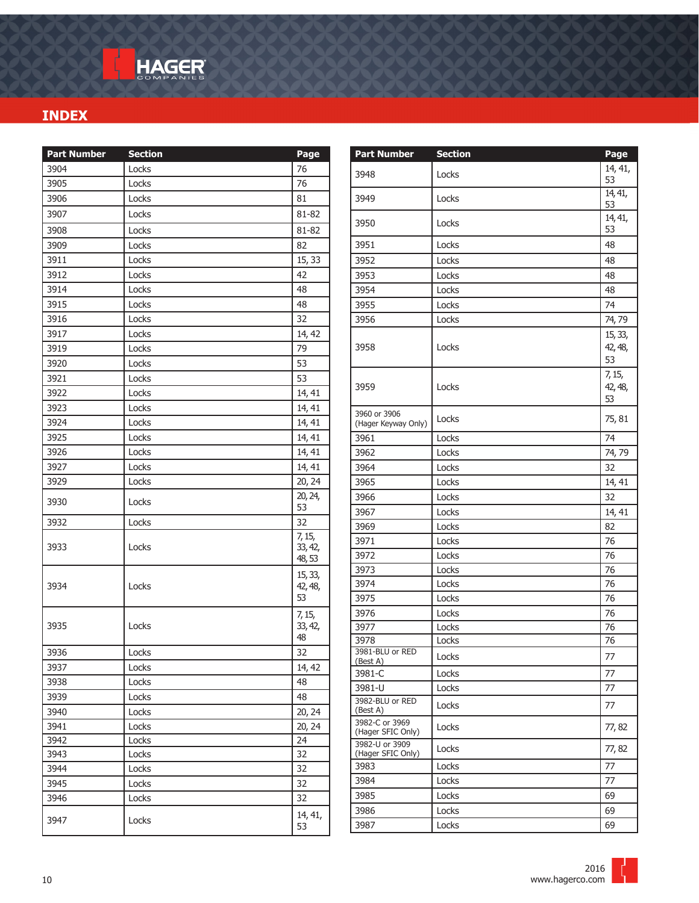| <b>Part Number</b> | <b>Section</b> | Page                                    |
|--------------------|----------------|-----------------------------------------|
| 3904               | Locks          | 76                                      |
| 3905               | Locks          | 76                                      |
| 3906               | Locks          | 81                                      |
| 3907               | Locks          | 81-82                                   |
| 3908               | Locks          | 81-82                                   |
| 3909               | Locks          | 82                                      |
| 3911               | Locks          | 15, 33                                  |
| 3912               | Locks          | 42                                      |
| 3914               | Locks          | 48                                      |
| 3915               | Locks          | 48                                      |
| 3916               | Locks          | 32                                      |
| 3917               | Locks          | 14, 42                                  |
| 3919               | Locks          | 79                                      |
| 3920               | Locks          | 53                                      |
| 3921               | Locks          | 53                                      |
| 3922               | Locks          | 14, 41                                  |
| 3923               | Locks          | 14, 41                                  |
| 3924               | Locks          | 14, 41                                  |
| 3925               | Locks          | 14, 41                                  |
| 3926               | Locks          | 14, 41                                  |
| 3927               | Locks          | 14, 41                                  |
| 3929               | Locks          | 20, 24                                  |
| 3930               | Locks          | 20, 24,<br>53                           |
| 3932               | Locks          | 32                                      |
| 3933               | Locks          | $\frac{1}{7}$ , 15,<br>33, 42,<br>48,53 |
| 3934               | Locks          | 15, 33,<br>42, 48,<br>53                |
| 3935               | Locks          | 7, 15,<br>33, 42,<br>48                 |
| 3936               | Locks          | 32                                      |
| 3937               | Locks          | 14, 42                                  |
| 3938               | Locks          | 48                                      |
| 3939               | Locks          | 48                                      |
| 3940               | Locks          | 20, 24                                  |
| 3941               | Locks          | 20, 24                                  |
| 3942               | Locks          | 24                                      |
| 3943               | Locks          | 32                                      |
| 3944               | Locks          | 32                                      |
| 3945               | Locks          | 32                                      |
| 3946               | Locks          | 32                                      |
| 3947               | Locks          | 14, 41,<br>53                           |

| <b>Part Number</b>                  | <b>Section</b> | Page                     |
|-------------------------------------|----------------|--------------------------|
| 3948                                | Locks          | 14, 41,<br>53            |
| 3949                                | Locks          | 14, 41,<br>53            |
| 3950                                | Locks          | 14, 41,<br>53            |
| 3951                                | Locks          | 48                       |
| 3952                                | Locks          | 48                       |
| 3953                                | Locks          | 48                       |
| 3954                                | Locks          | 48                       |
| 3955                                | Locks          | 74                       |
| 3956                                | Locks          | 74,79                    |
| 3958                                | Locks          | 15, 33,<br>42, 48,<br>53 |
| 3959                                | Locks          | 7, 15,<br>42, 48,<br>53  |
| 3960 or 3906<br>(Hager Keyway Only) | Locks          | 75, 81                   |
| 3961                                | Locks          | 74                       |
| 3962                                | Locks          | 74,79                    |
| 3964                                | Locks          | 32                       |
| 3965                                | Locks          | 14, 41                   |
| 3966                                | Locks          | 32                       |
| 3967                                | Locks          | 14, 41                   |
| 3969                                | Locks          | 82                       |
| 3971                                | Locks          | 76                       |
| 3972                                | Locks          | 76                       |
| 3973                                | Locks          | 76                       |
| 3974                                | Locks          | 76                       |
| 3975                                | Locks          | 76                       |
| 3976                                | Locks          | 76                       |
| 3977                                | Locks          | 76                       |
| 3978                                | Locks          | 76                       |
| 3981-BLU or RED<br>(Best A)         | Locks          | 77                       |
| 3981-C                              | Locks          | 77                       |
| 3981-U                              | Locks          | 77                       |
| 3982-BLU or RED<br>(Best A)         | Locks          | 77                       |
| 3982-C or 3969<br>(Hager SFIC Only) | Locks          | 77,82                    |
| 3982-U or 3909<br>(Hager SFIC Only) | Locks          | 77,82                    |
| 3983                                | Locks          | 77                       |
| 3984                                | Locks          | 77                       |
| 3985                                | Locks          | 69                       |
| 3986                                | Locks          | 69                       |
| 3987                                | Locks          | 69                       |

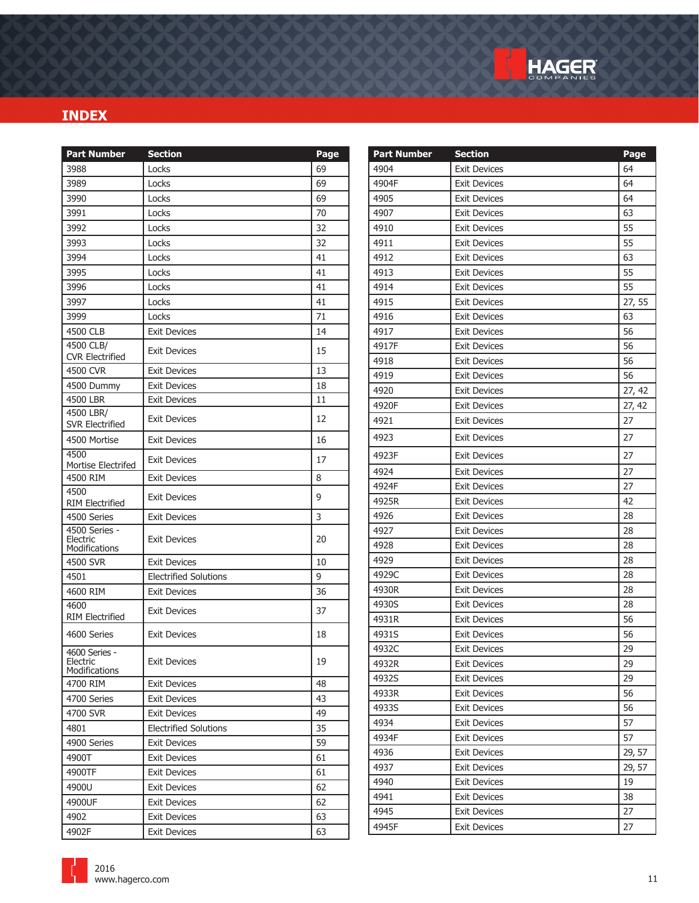

| <b>Part Number</b>                  | <b>Section</b>               | Page | <b>Part Number</b> | <b>Section</b>      | Page   |
|-------------------------------------|------------------------------|------|--------------------|---------------------|--------|
| 3988                                | Locks                        | 69   | 4904               | <b>Exit Devices</b> | 64     |
| 3989                                | Locks                        | 69   | 4904F              | <b>Exit Devices</b> | 64     |
| 3990                                | Locks                        | 69   | 4905               | <b>Exit Devices</b> | 64     |
| 3991                                | Locks                        | 70   | 4907               | <b>Exit Devices</b> | 63     |
| 3992                                | Locks                        | 32   | 4910               | <b>Exit Devices</b> | 55     |
| 3993                                | Locks                        | 32   | 4911               | <b>Exit Devices</b> | 55     |
| 3994                                | Locks                        | 41   | 4912               | <b>Exit Devices</b> | 63     |
| 3995                                | Locks                        | 41   | 4913               | <b>Exit Devices</b> | 55     |
| 3996                                | Locks                        | 41   | 4914               | <b>Exit Devices</b> | 55     |
| 3997                                | Locks                        | 41   | 4915               | <b>Exit Devices</b> | 27, 55 |
| 3999                                | Locks                        | 71   | 4916               | <b>Exit Devices</b> | 63     |
| 4500 CLB                            | <b>Exit Devices</b>          | 14   | 4917               | <b>Exit Devices</b> | 56     |
| 4500 CLB/                           | Exit Devices                 | 15   | 4917F              | <b>Exit Devices</b> | 56     |
| <b>CVR Electrified</b>              |                              |      | 4918               | <b>Exit Devices</b> | 56     |
| 4500 CVR                            | <b>Exit Devices</b>          | 13   | 4919               | <b>Exit Devices</b> | 56     |
| 4500 Dummy                          | <b>Exit Devices</b>          | 18   | 4920               | <b>Exit Devices</b> | 27, 42 |
| 4500 LBR                            | Exit Devices                 | 11   | 4920F              | <b>Exit Devices</b> | 27, 42 |
| 4500 LBR/<br><b>SVR Electrified</b> | <b>Exit Devices</b>          | 12   | 4921               | <b>Exit Devices</b> | 27     |
| 4500 Mortise                        | <b>Exit Devices</b>          | 16   | 4923               | <b>Exit Devices</b> | 27     |
| 4500<br>Mortise Electrifed          | <b>Exit Devices</b>          | 17   | 4923F              | <b>Exit Devices</b> | 27     |
| 4500 RIM                            | <b>Exit Devices</b>          | 8    | 4924               | <b>Exit Devices</b> | 27     |
| 4500                                |                              |      | 4924F              | <b>Exit Devices</b> | 27     |
| <b>RIM Electrified</b>              | <b>Exit Devices</b>          | 9    | 4925R              | <b>Exit Devices</b> | 42     |
| 4500 Series                         | <b>Exit Devices</b>          | 3    | 4926               | <b>Exit Devices</b> | 28     |
| 4500 Series -                       |                              | 20   | 4927               | <b>Exit Devices</b> | 28     |
| Electric<br>Modifications           | <b>Exit Devices</b>          |      | 4928               | <b>Exit Devices</b> | 28     |
| 4500 SVR                            | <b>Exit Devices</b>          | 10   | 4929               | <b>Exit Devices</b> | 28     |
| 4501                                | <b>Electrified Solutions</b> | 9    | 4929C              | <b>Exit Devices</b> | 28     |
| 4600 RIM                            | <b>Exit Devices</b>          | 36   | 4930R              | <b>Exit Devices</b> | 28     |
| 4600                                | Exit Devices                 | 37   | 4930S              | <b>Exit Devices</b> | 28     |
| <b>RIM Electrified</b>              |                              |      | 4931R              | <b>Exit Devices</b> | 56     |
| 4600 Series                         | <b>Exit Devices</b>          | 18   | 4931S              | <b>Exit Devices</b> | 56     |
| 4600 Series -                       |                              |      | 4932C              | <b>Exit Devices</b> | 29     |
| Electric<br>Modifications           | <b>Exit Devices</b>          | 19   | 4932R              | <b>Exit Devices</b> | 29     |
| 4700 RIM                            | <b>Exit Devices</b>          | 48   | 4932S              | <b>Exit Devices</b> | 29     |
| 4700 Series                         | Exit Devices                 | 43   | 4933R              | <b>Exit Devices</b> | 56     |
| 4700 SVR                            | Exit Devices                 | 49   | 4933S              | <b>Exit Devices</b> | 56     |
| 4801                                | <b>Electrified Solutions</b> | 35   | 4934               | <b>Exit Devices</b> | 57     |
| 4900 Series                         | Exit Devices                 | 59   | 4934F              | <b>Exit Devices</b> | 57     |
| 4900T                               | <b>Exit Devices</b>          | 61   | 4936               | <b>Exit Devices</b> | 29, 57 |
| 4900TF                              | <b>Exit Devices</b>          | 61   | 4937               | Exit Devices        | 29, 57 |
| 4900U                               | Exit Devices                 | 62   | 4940               | <b>Exit Devices</b> | 19     |
| 4900UF                              | Exit Devices                 | 62   | 4941               | <b>Exit Devices</b> | 38     |
| 4902                                | Exit Devices                 | 63   | 4945               | Exit Devices        | 27     |
| 4902F                               | <b>Exit Devices</b>          | 63   | 4945F              | <b>Exit Devices</b> | 27     |

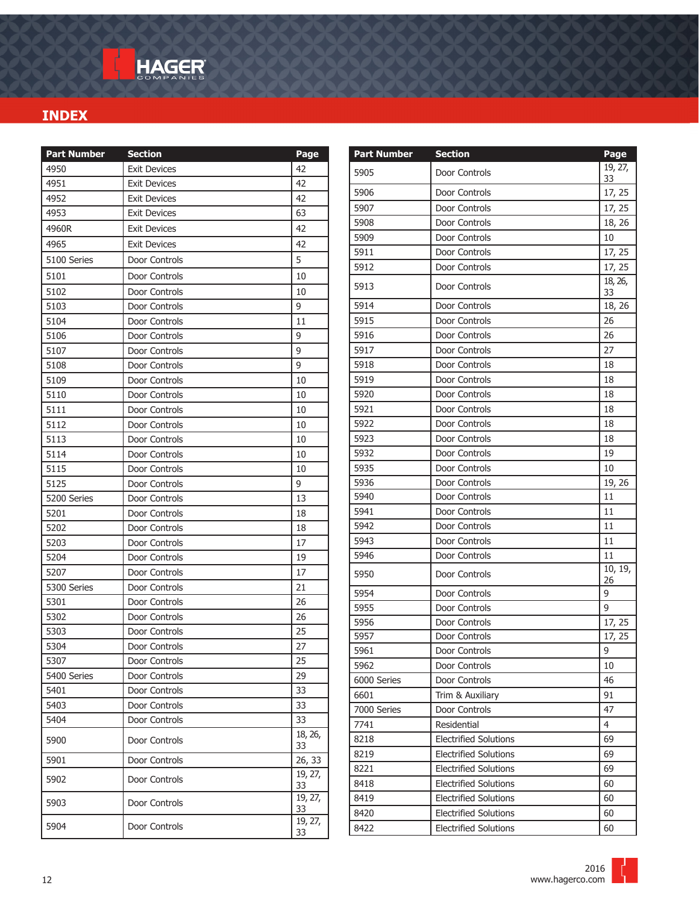| <b>Part Number</b> | <b>Section</b>      | Page            |
|--------------------|---------------------|-----------------|
| 4950               | <b>Exit Devices</b> | 42              |
| 4951               | <b>Exit Devices</b> | 42              |
| 4952               | <b>Exit Devices</b> | 42              |
| 4953               | <b>Exit Devices</b> | 63              |
| 4960R              | <b>Exit Devices</b> | 42              |
| 4965               | <b>Exit Devices</b> | 42              |
| 5100 Series        | Door Controls       | 5               |
| 5101               | Door Controls       | 10              |
| 5102               | Door Controls       | 10              |
| 5103               | Door Controls       | 9               |
| 5104               | Door Controls       | 11              |
| 5106               | Door Controls       | 9               |
| 5107               | Door Controls       | 9               |
| 5108               | Door Controls       | 9               |
| 5109               | Door Controls       | 10              |
| 5110               | Door Controls       | 10              |
| 5111               | Door Controls       | 10              |
| 5112               | Door Controls       | 10              |
| 5113               | Door Controls       | 10              |
| 5114               | Door Controls       | 10              |
| 5115               | Door Controls       | 10              |
| 5125               | Door Controls       | 9               |
| 5200 Series        | Door Controls       | 13              |
| 5201               | Door Controls       | 18              |
| 5202               | Door Controls       | 18              |
| 5203               | Door Controls       | 17              |
| 5204               | Door Controls       | 19              |
| 5207               | Door Controls       | 17              |
| 5300 Series        | Door Controls       | 21              |
| 5301               | Door Controls       | 26              |
| 5302               | Door Controls       | 26              |
| 5303               | Door Controls       | 25              |
| 5304               | Door Controls       | 27              |
| 5307               | Door Controls       | $\overline{25}$ |
| 5400 Series        | Door Controls       | 29              |
| 5401               | Door Controls       | 33              |
| 5403               | Door Controls       | 33              |
| 5404               | Door Controls       | 33              |
| 5900               | Door Controls       | 18, 26,<br>33   |
| 5901               | Door Controls       | 26, 33          |
| 5902               | Door Controls       | 19, 27,<br>33   |
| 5903               | Door Controls       | 19, 27,<br>33   |
| 5904               | Door Controls       | 19, 27,<br>33   |
|                    |                     |                 |

| <b>Part Number</b> | <b>Section</b>               | Page          |
|--------------------|------------------------------|---------------|
| 5905               | Door Controls                | 19, 27,<br>33 |
| 5906               | Door Controls                | 17, 25        |
| 5907               | Door Controls                | 17, 25        |
| 5908               | Door Controls                | 18, 26        |
| 5909               | Door Controls                | 10            |
| 5911               | Door Controls                | 17, 25        |
| 5912               | Door Controls                | 17, 25        |
| 5913               | Door Controls                | 18, 26,<br>33 |
| 5914               | Door Controls                | 18, 26        |
| 5915               | Door Controls                | 26            |
| 5916               | Door Controls                | 26            |
| 5917               | Door Controls                | 27            |
| 5918               | Door Controls                | 18            |
| 5919               | Door Controls                | 18            |
| 5920               | Door Controls                | 18            |
| 5921               | Door Controls                | 18            |
| 5922               | Door Controls                | 18            |
| 5923               | Door Controls                | 18            |
| 5932               | Door Controls                | 19            |
| 5935               | Door Controls                | 10            |
| 5936               | Door Controls                | 19, 26        |
| 5940               | Door Controls                | 11            |
| 5941               | Door Controls                | 11            |
| 5942               | Door Controls                | 11            |
| 5943               | Door Controls                | 11            |
| 5946               | Door Controls                | 11            |
| 5950               | Door Controls                | 10, 19,<br>26 |
| 5954               | Door Controls                | 9             |
| 5955               | Door Controls                | 9             |
| 5956               | Door Controls                | 17, 25        |
| 5957               | Door Controls                | 17, 25        |
| 5961               | Door Controls                | 9             |
| 5962               | Door Controls                | 10            |
| 6000 Series        | Door Controls                | 46            |
| 6601               | Trim & Auxiliary             | 91            |
| 7000 Series        | Door Controls                | 47            |
| 7741               | Residential                  | 4             |
| 8218               | <b>Electrified Solutions</b> | 69            |
| 8219               | <b>Electrified Solutions</b> | 69            |
| 8221               | <b>Electrified Solutions</b> | 69            |
| 8418               | <b>Electrified Solutions</b> | 60            |
| 8419               | <b>Electrified Solutions</b> | 60            |
| 8420               | <b>Electrified Solutions</b> | 60            |
| 8422               | <b>Electrified Solutions</b> | 60            |

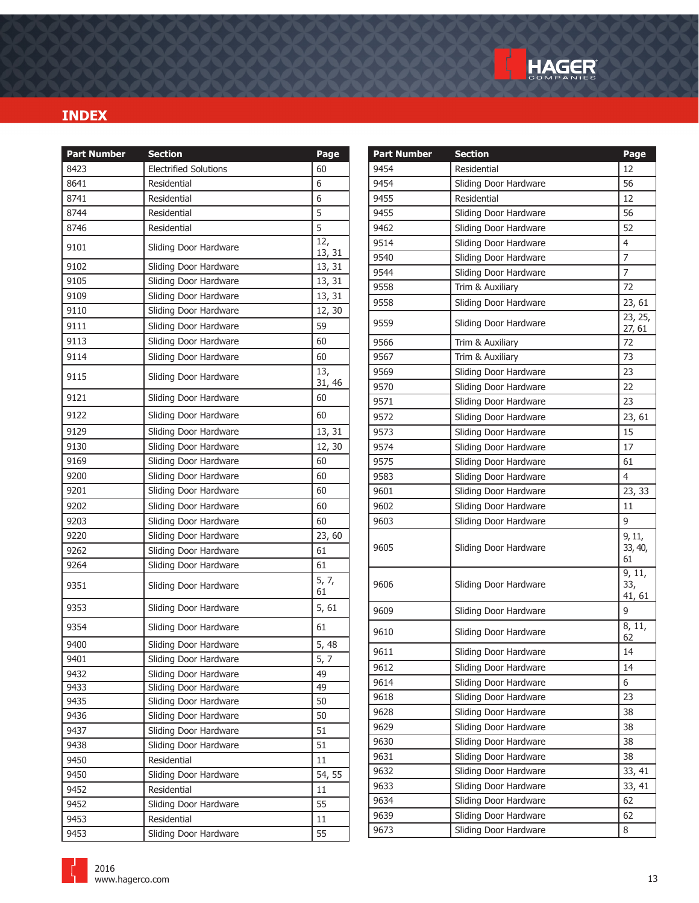

| <b>Part Number</b> | <b>Section</b>               | Page                        |
|--------------------|------------------------------|-----------------------------|
| 8423               | <b>Electrified Solutions</b> | 60                          |
| 8641               | Residential                  | 6                           |
| 8741               | Residential                  | 6                           |
| 8744               | Residential                  | 5                           |
| 8746               | Residential                  | 5                           |
| 9101               | Sliding Door Hardware        | 12,<br>13, 31               |
| 9102               | Sliding Door Hardware        | 13, 31                      |
| 9105               | Sliding Door Hardware        | 13, 31                      |
| 9109               | Sliding Door Hardware        | 13, 31                      |
| 9110               | Sliding Door Hardware        | 12, 30                      |
| 9111               | Sliding Door Hardware        | 59                          |
| 9113               | Sliding Door Hardware        | 60                          |
| 9114               | Sliding Door Hardware        | 60                          |
| 9115               | Sliding Door Hardware        | $\overline{13}$ ,<br>31, 46 |
| 9121               | Sliding Door Hardware        | 60                          |
| 9122               | Sliding Door Hardware        | 60                          |
| 9129               | Sliding Door Hardware        | 13, 31                      |
| 9130               | Sliding Door Hardware        | 12, 30                      |
| 9169               | Sliding Door Hardware        | 60                          |
| 9200               | Sliding Door Hardware        | 60                          |
| 9201               | Sliding Door Hardware        | 60                          |
| 9202               | Sliding Door Hardware        | 60                          |
| 9203               | Sliding Door Hardware        | 60                          |
| 9220               | Sliding Door Hardware        | 23, 60                      |
| 9262               | Sliding Door Hardware        | 61                          |
| 9264               | Sliding Door Hardware        | 61                          |
| 9351               | Sliding Door Hardware        | 5, 7,<br>61                 |
| 9353               | Sliding Door Hardware        | 5, 61                       |
| 9354               | Sliding Door Hardware        | 61                          |
| 9400               | Sliding Door Hardware        | 5, 48                       |
| 9401               | Sliding Door Hardware        | 5, 7                        |
| 9432               | Sliding Door Hardware        | 49                          |
| 9433               | Sliding Door Hardware        | 49                          |
| 9435               | Sliding Door Hardware        | 50                          |
| 9436               | Sliding Door Hardware        | 50                          |
| 9437               | Sliding Door Hardware        | 51                          |
| 9438               | Sliding Door Hardware        | 51                          |
| 9450               | Residential                  | 11                          |
| 9450               | Sliding Door Hardware        | 54, 55                      |
| 9452               | Residential                  | 11                          |
| 9452               | Sliding Door Hardware        | 55                          |
| 9453               | Residential                  | 11                          |
| 9453               | Sliding Door Hardware        | 55                          |

| <b>Part Number</b> | <b>Section</b>        | Page                    |
|--------------------|-----------------------|-------------------------|
| 9454               | Residential           | 12                      |
| 9454               | Sliding Door Hardware | 56                      |
| 9455               | Residential           | 12                      |
| 9455               | Sliding Door Hardware | 56                      |
| 9462               | Sliding Door Hardware | 52                      |
| 9514               | Sliding Door Hardware | $\overline{4}$          |
| 9540               | Sliding Door Hardware | $\overline{7}$          |
| 9544               | Sliding Door Hardware | 7                       |
| 9558               | Trim & Auxiliary      | 72                      |
| 9558               | Sliding Door Hardware | 23, 61                  |
| 9559               | Sliding Door Hardware | 23, 25,<br>27, 61       |
| 9566               | Trim & Auxiliary      | 72                      |
| 9567               | Trim & Auxiliary      | 73                      |
| 9569               | Sliding Door Hardware | 23                      |
| 9570               | Sliding Door Hardware | 22                      |
| 9571               | Sliding Door Hardware | 23                      |
| 9572               | Sliding Door Hardware | 23, 61                  |
| 9573               | Sliding Door Hardware | 15                      |
| 9574               | Sliding Door Hardware | 17                      |
| 9575               | Sliding Door Hardware | 61                      |
| 9583               | Sliding Door Hardware | 4                       |
| 9601               | Sliding Door Hardware | 23, 33                  |
| 9602               | Sliding Door Hardware | 11                      |
| 9603               | Sliding Door Hardware | 9                       |
| 9605               | Sliding Door Hardware | 9, 11,<br>33, 40,<br>61 |
| 9606               | Sliding Door Hardware | 9, 11,<br>33,<br>41, 61 |
| 9609               | Sliding Door Hardware | 9                       |
| 9610               | Sliding Door Hardware | 8, 11,<br>62            |
| 9611               | Sliding Door Hardware | 14                      |
| 9612               | Sliding Door Hardware | 14                      |
| 9614               | Sliding Door Hardware | 6                       |
| 9618               | Sliding Door Hardware | 23                      |
| 9628               | Sliding Door Hardware | 38                      |
| 9629               | Sliding Door Hardware | 38                      |
| 9630               | Sliding Door Hardware | 38                      |
| 9631               | Sliding Door Hardware | 38                      |
| 9632               | Sliding Door Hardware | 33, 41                  |
| 9633               | Sliding Door Hardware | 33, 41                  |
| 9634               | Sliding Door Hardware | 62                      |
| 9639               | Sliding Door Hardware | 62                      |
| 9673               | Sliding Door Hardware | 8                       |

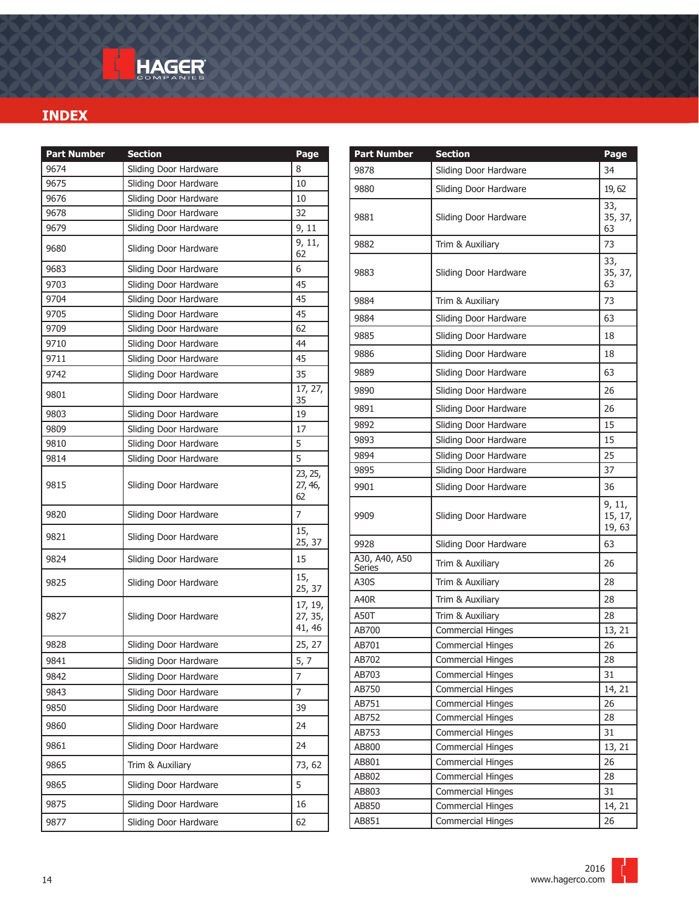| <b>Part Number</b> | <b>Section</b>        | Page                         |
|--------------------|-----------------------|------------------------------|
| 9674               | Sliding Door Hardware | 8                            |
| 9675               | Sliding Door Hardware | 10                           |
| 9676               | Sliding Door Hardware | 10                           |
| 9678               | Sliding Door Hardware | 32                           |
| 9679               | Sliding Door Hardware | 9, 11                        |
| 9680               | Sliding Door Hardware | 9, 11,<br>62                 |
| 9683               | Sliding Door Hardware | 6                            |
| 9703               | Sliding Door Hardware | 45                           |
| 9704               | Sliding Door Hardware | 45                           |
| 9705               | Sliding Door Hardware | 45                           |
| 9709               | Sliding Door Hardware | 62                           |
| 9710               | Sliding Door Hardware | 44                           |
| 9711               | Sliding Door Hardware | 45                           |
| 9742               | Sliding Door Hardware | 35                           |
| 9801               | Sliding Door Hardware | $\overline{17}$ , 27,<br>35  |
| 9803               | Sliding Door Hardware | 19                           |
| 9809               | Sliding Door Hardware | 17                           |
| 9810               | Sliding Door Hardware | 5                            |
| 9814               | Sliding Door Hardware | 5                            |
| 9815               | Sliding Door Hardware | 23, 25,<br>27, 46,<br>62     |
| 9820               | Sliding Door Hardware | 7                            |
| 9821               | Sliding Door Hardware | 15,<br>25, 37                |
| 9824               | Sliding Door Hardware | 15                           |
| 9825               | Sliding Door Hardware | 15,<br>25, 37                |
| 9827               | Sliding Door Hardware | 17, 19,<br>27, 35,<br>41, 46 |
| 9828               | Sliding Door Hardware | 25, 27                       |
| 9841               | Sliding Door Hardware | 5, 7                         |
| 9842               | Sliding Door Hardware | 7                            |
| 9843               | Sliding Door Hardware | $\overline{7}$               |
| 9850               | Sliding Door Hardware | 39                           |
| 9860               | Sliding Door Hardware | 24                           |
| 9861               | Sliding Door Hardware | 24                           |
| 9865               | Trim & Auxiliary      | 73, 62                       |
| 9865               | Sliding Door Hardware | 5                            |
| 9875               | Sliding Door Hardware | 16                           |
| 9877               | Sliding Door Hardware | 62                           |

| <b>Part Number</b>      | <b>Section</b>           | Page                       |
|-------------------------|--------------------------|----------------------------|
| 9878                    | Sliding Door Hardware    | 34                         |
| 9880                    | Sliding Door Hardware    | 19,62                      |
| 9881                    | Sliding Door Hardware    | 33,<br>35, 37,<br>63       |
| 9882                    | Trim & Auxiliary         | 73                         |
| 9883                    | Sliding Door Hardware    | 33,<br>35, 37,<br>63       |
| 9884                    | Trim & Auxiliary         | 73                         |
| 9884                    | Sliding Door Hardware    | 63                         |
| 9885                    | Sliding Door Hardware    | 18                         |
| 9886                    | Sliding Door Hardware    | 18                         |
| 9889                    | Sliding Door Hardware    | 63                         |
| 9890                    | Sliding Door Hardware    | 26                         |
| 9891                    | Sliding Door Hardware    | 26                         |
| 9892                    | Sliding Door Hardware    | 15                         |
| 9893                    | Sliding Door Hardware    | 15                         |
| 9894                    | Sliding Door Hardware    | 25                         |
| 9895                    | Sliding Door Hardware    | 37                         |
| 9901                    | Sliding Door Hardware    | 36                         |
| 9909                    | Sliding Door Hardware    | 9, 11,<br>15, 17,<br>19,63 |
| 9928                    | Sliding Door Hardware    | 63                         |
| A30, A40, A50<br>Series | Trim & Auxiliary         | 26                         |
| A30S                    | Trim & Auxiliary         | 28                         |
| <b>A40R</b>             | Trim & Auxiliary         | 28                         |
| <b>A50T</b>             | Trim & Auxiliary         | 28                         |
| AB700                   | <b>Commercial Hinges</b> | 13, 21                     |
| AB701                   | <b>Commercial Hinges</b> | 26                         |
| AB702                   | Commercial Hinges        | 28                         |
| AB703                   | <b>Commercial Hinges</b> | 31                         |
| AB750                   | <b>Commercial Hinges</b> | 14, 21                     |
| AB751                   | <b>Commercial Hinges</b> | 26                         |
| AB752                   | <b>Commercial Hinges</b> | 28                         |
| AB753                   | <b>Commercial Hinges</b> | 31                         |
| AB800                   | <b>Commercial Hinges</b> | 13, 21                     |
| AB801                   | <b>Commercial Hinges</b> | 26                         |
| AB802                   | <b>Commercial Hinges</b> | 28                         |
| AB803                   | Commercial Hinges        | 31                         |
| AB850                   | <b>Commercial Hinges</b> | 14, 21                     |
| AB851                   | <b>Commercial Hinges</b> | 26                         |

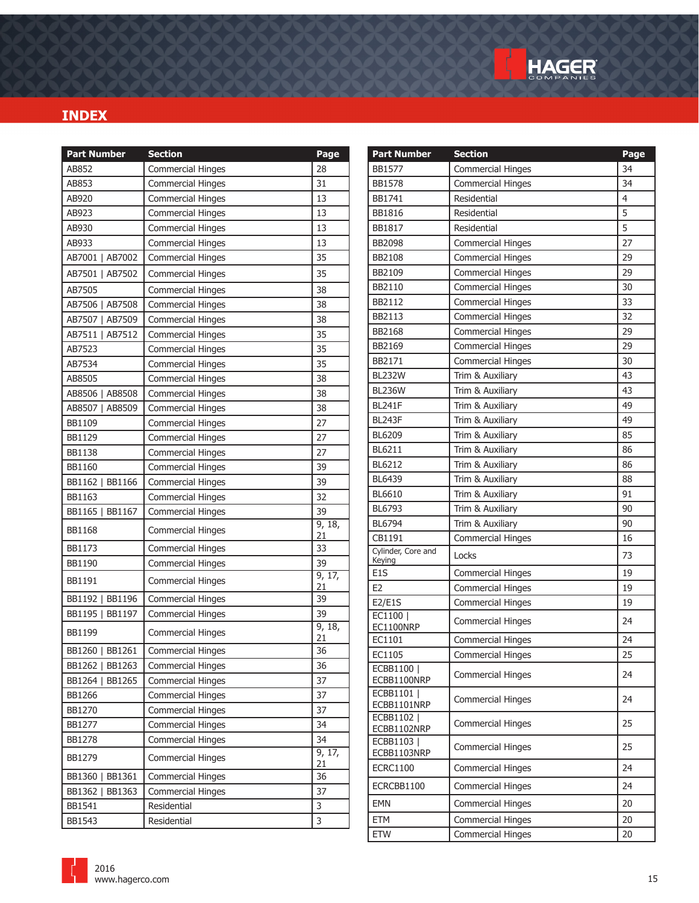

| <b>Part Number</b>        | <b>Section</b>           | Page         | <b>Part Number</b>           | <b>Section</b>           | Page           |
|---------------------------|--------------------------|--------------|------------------------------|--------------------------|----------------|
| AB852                     | <b>Commercial Hinges</b> | 28           | <b>BB1577</b>                | <b>Commercial Hinges</b> | 34             |
| AB853                     | <b>Commercial Hinges</b> | 31           | <b>BB1578</b>                | <b>Commercial Hinges</b> | 34             |
| AB920                     | <b>Commercial Hinges</b> | 13           | BB1741                       | Residential              | $\overline{4}$ |
| AB923                     | <b>Commercial Hinges</b> | 13           | <b>BB1816</b>                | Residential              | 5              |
| AB930                     | <b>Commercial Hinges</b> | 13           | BB1817                       | Residential              | 5              |
| AB933                     | <b>Commercial Hinges</b> | 13           | <b>BB2098</b>                | <b>Commercial Hinges</b> | 27             |
| AB7001   AB7002           | <b>Commercial Hinges</b> | 35           | <b>BB2108</b>                | <b>Commercial Hinges</b> | 29             |
| AB7501   AB7502           | <b>Commercial Hinges</b> | 35           | BB2109                       | <b>Commercial Hinges</b> | 29             |
| AB7505                    | <b>Commercial Hinges</b> | 38           | BB2110                       | <b>Commercial Hinges</b> | 30             |
| AB7506   AB7508           | <b>Commercial Hinges</b> | 38           | BB2112                       | <b>Commercial Hinges</b> | 33             |
| AB7507   AB7509           | <b>Commercial Hinges</b> | 38           | BB2113                       | <b>Commercial Hinges</b> | 32             |
| AB7511   AB7512           | <b>Commercial Hinges</b> | 35           | BB2168                       | <b>Commercial Hinges</b> | 29             |
| AB7523                    | <b>Commercial Hinges</b> | 35           | BB2169                       | <b>Commercial Hinges</b> | 29             |
| AB7534                    | Commercial Hinges        | 35           | BB2171                       | <b>Commercial Hinges</b> | 30             |
| AB8505                    | <b>Commercial Hinges</b> | 38           | <b>BL232W</b>                | Trim & Auxiliary         | 43             |
| AB8506   AB8508           | <b>Commercial Hinges</b> | 38           | <b>BL236W</b>                | Trim & Auxiliary         | 43             |
| AB8507   AB8509           | <b>Commercial Hinges</b> | 38           | <b>BL241F</b>                | Trim & Auxiliary         | 49             |
| BB1109                    | <b>Commercial Hinges</b> | 27           | <b>BL243F</b>                | Trim & Auxiliary         | 49             |
| BB1129                    | <b>Commercial Hinges</b> | 27           | <b>BL6209</b>                | Trim & Auxiliary         | 85             |
| <b>BB1138</b>             | <b>Commercial Hinges</b> | 27           | BL6211                       | Trim & Auxiliary         | 86             |
| BB1160                    | <b>Commercial Hinges</b> | 39           | BL6212                       | Trim & Auxiliary         | 86             |
| BB1162   BB1166           | <b>Commercial Hinges</b> | 39           | <b>BL6439</b>                | Trim & Auxiliary         | 88             |
| BB1163                    | <b>Commercial Hinges</b> | 32           | BL6610                       | Trim & Auxiliary         | 91             |
| BB1165  <br><b>BB1167</b> | <b>Commercial Hinges</b> | 39           | BL6793                       | Trim & Auxiliary         | 90             |
| <b>BB1168</b>             | <b>Commercial Hinges</b> | 9, 18,       | BL6794                       | Trim & Auxiliary         | 90             |
| BB1173                    | <b>Commercial Hinges</b> | 21<br>33     | CB1191                       | <b>Commercial Hinges</b> | 16             |
| <b>BB1190</b>             | <b>Commercial Hinges</b> | 39           | Cylinder, Core and<br>Keying | Locks                    | 73             |
|                           |                          | 9, 17,       | E <sub>1</sub> S             | <b>Commercial Hinges</b> | 19             |
| BB1191                    | <b>Commercial Hinges</b> | 21           | E <sub>2</sub>               | <b>Commercial Hinges</b> | 19             |
| BB1192   BB1196           | <b>Commercial Hinges</b> | 39           | E2/E1S                       | Commercial Hinges        | 19             |
| BB1195   BB1197           | <b>Commercial Hinges</b> | 39           | EC1100                       | <b>Commercial Hinges</b> | 24             |
| <b>BB1199</b>             | <b>Commercial Hinges</b> | 9, 18,<br>21 | EC1100NRP<br>EC1101          | <b>Commercial Hinges</b> | 24             |
| BB1260   BB1261           | <b>Commercial Hinges</b> | 36           | EC1105                       | Commercial Hinges        | 25             |
| BB1262   BB1263           | <b>Commercial Hinges</b> | 36           | ECBB1100                     |                          |                |
| BB1264   BB1265           | <b>Commercial Hinges</b> | 37           | ECBB1100NRP                  | <b>Commercial Hinges</b> | 24             |
| BB1266                    | <b>Commercial Hinges</b> | 37           | ECBB1101                     | <b>Commercial Hinges</b> | 24             |
| BB1270                    | <b>Commercial Hinges</b> | 37           | ECBB1101NRP<br>ECBB1102      |                          |                |
| BB1277                    | <b>Commercial Hinges</b> | 34           | ECBB1102NRP                  | <b>Commercial Hinges</b> | 25             |
| BB1278                    | <b>Commercial Hinges</b> | 34           | ECBB1103                     | <b>Commercial Hinges</b> | 25             |
| BB1279                    | <b>Commercial Hinges</b> | 9, 17,<br>21 | ECBB1103NRP                  |                          | 24             |
| BB1360   BB1361           | <b>Commercial Hinges</b> | 36           | <b>ECRC1100</b>              | <b>Commercial Hinges</b> |                |
| BB1362   BB1363           | <b>Commercial Hinges</b> | 37           | ECRCBB1100                   | <b>Commercial Hinges</b> | 24             |
| BB1541                    | Residential              | 3            | <b>EMN</b>                   | <b>Commercial Hinges</b> | 20             |
| BB1543                    | Residential              | 3            | ETM                          | <b>Commercial Hinges</b> | 20             |
|                           |                          |              | <b>ETW</b>                   | <b>Commercial Hinges</b> | 20             |

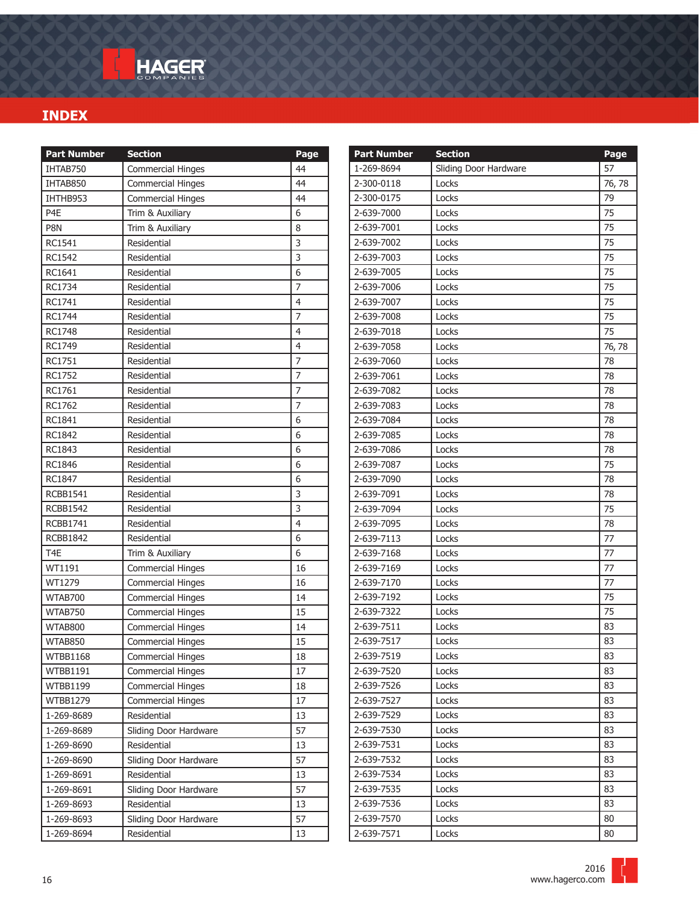| <b>Part Number</b> | <b>Section</b>           | Page                    |
|--------------------|--------------------------|-------------------------|
| IHTAB750           | <b>Commercial Hinges</b> | 44                      |
| IHTAB850           | <b>Commercial Hinges</b> | 44                      |
| IHTHB953           | <b>Commercial Hinges</b> | 44                      |
| P4E                | Trim & Auxiliary         | 6                       |
| P8N                | Trim & Auxiliary         | 8                       |
| RC1541             | Residential              | 3                       |
| RC1542             | Residential              | 3                       |
| RC1641             | Residential              | 6                       |
| RC1734             | Residential              | $\overline{7}$          |
| RC1741             | Residential              | $\overline{\mathbf{4}}$ |
| <b>RC1744</b>      | Residential              | 7                       |
| <b>RC1748</b>      | Residential              | 4                       |
| RC1749             | Residential              | 4                       |
| RC1751             | Residential              | 7                       |
| <b>RC1752</b>      | Residential              | $\overline{7}$          |
| RC1761             | Residential              | $\overline{7}$          |
| RC1762             | Residential              | $\overline{7}$          |
| RC1841             | Residential              | 6                       |
| RC1842             | Residential              | 6                       |
| RC1843             | Residential              | 6                       |
| RC1846             | Residential              | 6                       |
| RC1847             | Residential              | 6                       |
| <b>RCBB1541</b>    | Residential              | 3                       |
| <b>RCBB1542</b>    | Residential              | $\overline{3}$          |
| <b>RCBB1741</b>    | Residential              | 4                       |
| <b>RCBB1842</b>    | Residential              | 6                       |
| T <sub>4E</sub>    | Trim & Auxiliary         | 6                       |
| WT1191             | <b>Commercial Hinges</b> | 16                      |
| WT1279             | <b>Commercial Hinges</b> | 16                      |
| WTAB700            | <b>Commercial Hinges</b> | 14                      |
| WTAB750            | <b>Commercial Hinges</b> | 15                      |
| WTAB800            | <b>Commercial Hinges</b> | 14                      |
| WTAB850            | <b>Commercial Hinges</b> | 15                      |
| WTBB1168           | Commercial Hinges        | $18\,$                  |
| <b>WTBB1191</b>    | <b>Commercial Hinges</b> | 17                      |
| <b>WTBB1199</b>    | <b>Commercial Hinges</b> | 18                      |
| <b>WTBB1279</b>    | <b>Commercial Hinges</b> | 17                      |
| 1-269-8689         | Residential              | 13                      |
| 1-269-8689         | Sliding Door Hardware    | 57                      |
| 1-269-8690         | Residential              | 13                      |
| 1-269-8690         | Sliding Door Hardware    | 57                      |
| 1-269-8691         | Residential              | 13                      |
| 1-269-8691         | Sliding Door Hardware    | 57                      |
| 1-269-8693         | Residential              | 13                      |
| 1-269-8693         | Sliding Door Hardware    | 57                      |
| 1-269-8694         | Residential              | 13                      |

| <b>Part Number</b> | <b>Section</b>        | Page   |
|--------------------|-----------------------|--------|
| 1-269-8694         | Sliding Door Hardware | 57     |
| 2-300-0118         | Locks                 | 76, 78 |
| 2-300-0175         | Locks                 | 79     |
| 2-639-7000         | Locks                 | 75     |
| 2-639-7001         | Locks                 | 75     |
| 2-639-7002         | Locks                 | 75     |
| 2-639-7003         | Locks                 | 75     |
| 2-639-7005         | Locks                 | 75     |
| 2-639-7006         | Locks                 | 75     |
| 2-639-7007         | Locks                 | 75     |
| 2-639-7008         | Locks                 | 75     |
| 2-639-7018         | Locks                 | 75     |
| 2-639-7058         | Locks                 | 76,78  |
| 2-639-7060         | Locks                 | 78     |
| 2-639-7061         | Locks                 | 78     |
| 2-639-7082         | Locks                 | 78     |
| 2-639-7083         | Locks                 | 78     |
| 2-639-7084         | Locks                 | 78     |
| 2-639-7085         | Locks                 | 78     |
| 2-639-7086         | Locks                 | 78     |
| 2-639-7087         | Locks                 | 75     |
| 2-639-7090         | Locks                 | 78     |
| 2-639-7091         | Locks                 | 78     |
| 2-639-7094         | Locks                 | 75     |
| 2-639-7095         | Locks                 | 78     |
| 2-639-7113         | Locks                 | 77     |
| 2-639-7168         | Locks                 | 77     |
| 2-639-7169         | Locks                 | 77     |
| 2-639-7170         | Locks                 | 77     |
| 2-639-7192         | Locks                 | 75     |
| 2-639-7322         | Locks                 | 75     |
| 2-639-7511         | Locks                 | 83     |
| 2-639-7517         | Locks                 | 83     |
| 2-639-7519         | Locks                 | 83     |
| 2-639-7520         | Locks                 | 83     |
| 2-639-7526         | Locks                 | 83     |
| 2-639-7527         | Locks                 | 83     |
| 2-639-7529         | Locks                 | 83     |
| 2-639-7530         | Locks                 | 83     |
| 2-639-7531         | Locks                 | 83     |
| 2-639-7532         | Locks                 | 83     |
| 2-639-7534         | Locks                 | 83     |
| 2-639-7535         | Locks                 | 83     |
| 2-639-7536         | Locks                 | 83     |
| 2-639-7570         | Locks                 | 80     |
| 2-639-7571         | Locks                 | 80     |

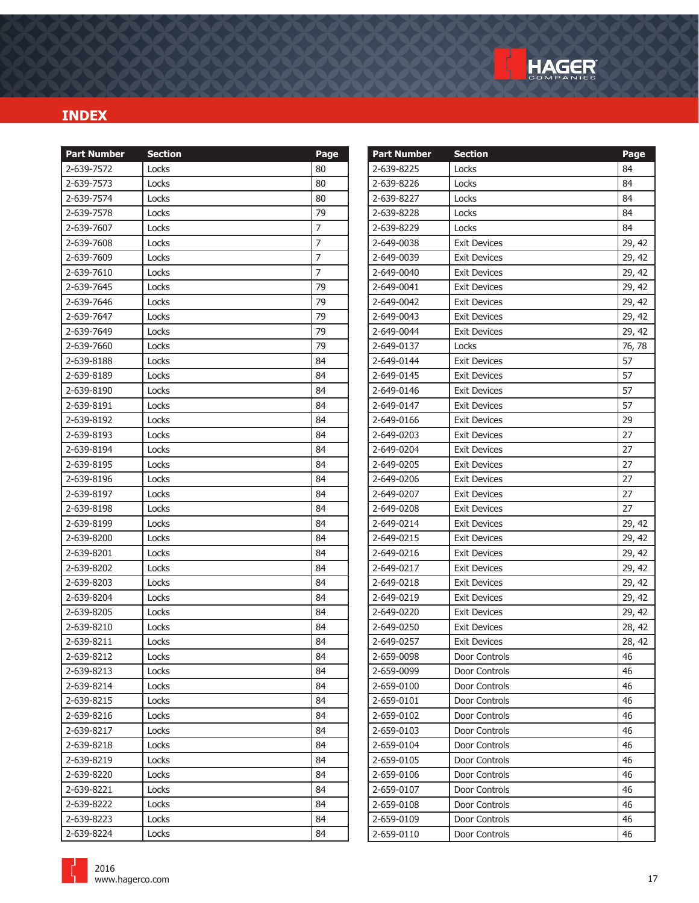

| <b>Part Number</b> | <b>Section</b> | Page           | <b>Part Number</b> | <b>Section</b>      | Page   |
|--------------------|----------------|----------------|--------------------|---------------------|--------|
| 2-639-7572         | Locks          | 80             | 2-639-8225         | Locks               | 84     |
| 2-639-7573         | Locks          | 80             | 2-639-8226         | Locks               | 84     |
| 2-639-7574         | Locks          | 80             | 2-639-8227         | Locks               | 84     |
| 2-639-7578         | Locks          | 79             | 2-639-8228         | Locks               | 84     |
| 2-639-7607         | Locks          | $\overline{7}$ | 2-639-8229         | Locks               | 84     |
| 2-639-7608         | Locks          | $\overline{7}$ | 2-649-0038         | <b>Exit Devices</b> | 29, 42 |
| 2-639-7609         | Locks          | $\overline{7}$ | 2-649-0039         | <b>Exit Devices</b> | 29, 42 |
| 2-639-7610         | Locks          | $\overline{7}$ | 2-649-0040         | <b>Exit Devices</b> | 29, 42 |
| 2-639-7645         | Locks          | 79             | 2-649-0041         | <b>Exit Devices</b> | 29, 42 |
| 2-639-7646         | Locks          | 79             | 2-649-0042         | <b>Exit Devices</b> | 29, 42 |
| 2-639-7647         | Locks          | 79             | 2-649-0043         | <b>Exit Devices</b> | 29, 42 |
| 2-639-7649         | Locks          | 79             | 2-649-0044         | <b>Exit Devices</b> | 29, 42 |
| 2-639-7660         | Locks          | 79             | 2-649-0137         | Locks               | 76, 78 |
| 2-639-8188         | Locks          | 84             | 2-649-0144         | <b>Exit Devices</b> | 57     |
| 2-639-8189         | Locks          | 84             | 2-649-0145         | <b>Exit Devices</b> | 57     |
| 2-639-8190         | Locks          | 84             | 2-649-0146         | <b>Exit Devices</b> | 57     |
| 2-639-8191         | Locks          | 84             | 2-649-0147         | <b>Exit Devices</b> | 57     |
| 2-639-8192         | Locks          | 84             | 2-649-0166         | <b>Exit Devices</b> | 29     |
| 2-639-8193         | Locks          | 84             | 2-649-0203         | Exit Devices        | 27     |
| 2-639-8194         | Locks          | 84             | 2-649-0204         | <b>Exit Devices</b> | 27     |
| 2-639-8195         | Locks          | 84             | 2-649-0205         | <b>Exit Devices</b> | 27     |
| 2-639-8196         | Locks          | 84             | 2-649-0206         | <b>Exit Devices</b> | 27     |
| 2-639-8197         | Locks          | 84             | 2-649-0207         | <b>Exit Devices</b> | 27     |
| 2-639-8198         | Locks          | 84             | 2-649-0208         | <b>Exit Devices</b> | 27     |
| 2-639-8199         | Locks          | 84             | 2-649-0214         | <b>Exit Devices</b> | 29, 42 |
| 2-639-8200         | Locks          | 84             | 2-649-0215         | <b>Exit Devices</b> | 29, 42 |
| 2-639-8201         | Locks          | 84             | 2-649-0216         | <b>Exit Devices</b> | 29, 42 |
| 2-639-8202         | Locks          | 84             | 2-649-0217         | <b>Exit Devices</b> | 29, 42 |
| 2-639-8203         | Locks          | 84             | 2-649-0218         | <b>Exit Devices</b> | 29, 42 |
| 2-639-8204         | Locks          | 84             | 2-649-0219         | <b>Exit Devices</b> | 29, 42 |
| 2-639-8205         | Locks          | 84             | 2-649-0220         | <b>Exit Devices</b> | 29, 42 |
| 2-639-8210         | Locks          | 84             | 2-649-0250         | <b>Exit Devices</b> | 28, 42 |
| 2-639-8211         | Locks          | 84             | 2-649-0257         | <b>Exit Devices</b> | 28, 42 |
| 2-639-8212         | Locks          | 84             | 2-659-0098         | Door Controls       | 46     |
| 2-639-8213         | Locks          | 84             | 2-659-0099         | Door Controls       | 46     |
| 2-639-8214         | Locks          | 84             | 2-659-0100         | Door Controls       | 46     |
| 2-639-8215         | Locks          | 84             | 2-659-0101         | Door Controls       | 46     |
| 2-639-8216         | Locks          | 84             | 2-659-0102         | Door Controls       | 46     |
| 2-639-8217         | Locks          | 84             | 2-659-0103         | Door Controls       | 46     |
| 2-639-8218         | Locks          | 84             | 2-659-0104         | Door Controls       | 46     |
| 2-639-8219         | Locks          | 84             | 2-659-0105         | Door Controls       | 46     |
| 2-639-8220         | Locks          | 84             | 2-659-0106         | Door Controls       | 46     |
| 2-639-8221         | Locks          | 84             | 2-659-0107         | Door Controls       | 46     |
| 2-639-8222         | Locks          | 84             | 2-659-0108         | Door Controls       | 46     |
| 2-639-8223         | Locks          | 84             | 2-659-0109         | Door Controls       | 46     |
| 2-639-8224         | Locks          | 84             | 2-659-0110         | Door Controls       | 46     |

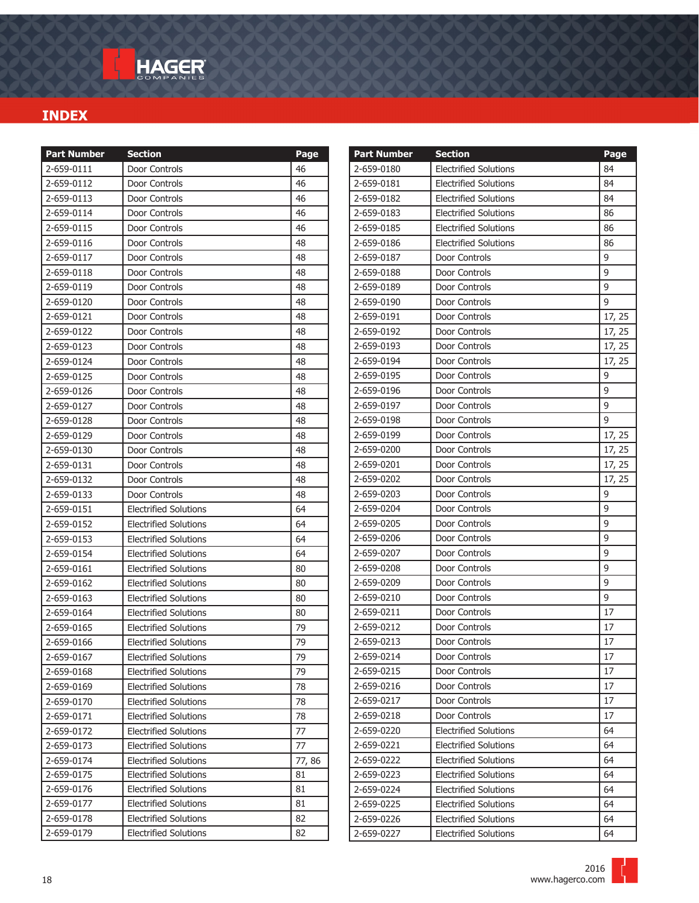| <b>Part Number</b>       | <b>Section</b>                                               | Page     |
|--------------------------|--------------------------------------------------------------|----------|
| 2-659-0111               | Door Controls                                                | 46       |
| 2-659-0112               | Door Controls                                                | 46       |
| 2-659-0113               | Door Controls                                                | 46       |
| 2-659-0114               | Door Controls                                                | 46       |
| 2-659-0115               | Door Controls                                                | 46       |
| 2-659-0116               | Door Controls                                                | 48       |
| 2-659-0117               | Door Controls                                                | 48       |
| 2-659-0118               | Door Controls                                                | 48       |
| 2-659-0119               | Door Controls                                                | 48       |
| 2-659-0120               | Door Controls                                                | 48       |
| 2-659-0121               | Door Controls                                                | 48       |
| 2-659-0122               | Door Controls                                                | 48       |
| 2-659-0123               | Door Controls                                                | 48       |
| 2-659-0124               | Door Controls                                                | 48       |
| 2-659-0125               | Door Controls                                                | 48       |
| 2-659-0126               | Door Controls                                                | 48       |
| 2-659-0127               | Door Controls                                                | 48       |
| 2-659-0128               | Door Controls                                                | 48       |
| 2-659-0129               | Door Controls                                                | 48       |
| 2-659-0130               | Door Controls                                                | 48       |
| 2-659-0131               | Door Controls                                                | 48       |
| 2-659-0132               | Door Controls                                                | 48       |
| 2-659-0133               | Door Controls                                                | 48       |
| 2-659-0151               | <b>Electrified Solutions</b>                                 | 64       |
| 2-659-0152               | <b>Electrified Solutions</b>                                 | 64       |
| 2-659-0153               | <b>Electrified Solutions</b>                                 | 64       |
| 2-659-0154               | <b>Electrified Solutions</b>                                 | 64       |
| 2-659-0161               | <b>Electrified Solutions</b>                                 | 80       |
| 2-659-0162               | <b>Electrified Solutions</b>                                 | 80       |
| 2-659-0163               | <b>Electrified Solutions</b>                                 | 80       |
| 2-659-0164               | <b>Electrified Solutions</b>                                 | 80       |
| 2-659-0165               | <b>Electrified Solutions</b>                                 | 79       |
| 2-659-0166               | <b>Electrified Solutions</b>                                 | 79       |
| 2-659-0167               | <b>Flectrified Solutions</b>                                 | 79       |
| 2-659-0168               | <b>Electrified Solutions</b>                                 | 79       |
| 2-659-0169               | <b>Electrified Solutions</b>                                 | 78       |
| 2-659-0170<br>2-659-0171 | <b>Electrified Solutions</b><br><b>Electrified Solutions</b> | 78<br>78 |
| 2-659-0172               | <b>Electrified Solutions</b>                                 | 77       |
| 2-659-0173               | <b>Electrified Solutions</b>                                 | 77       |
| 2-659-0174               | <b>Electrified Solutions</b>                                 | 77,86    |
| 2-659-0175               | <b>Electrified Solutions</b>                                 | 81       |
| 2-659-0176               | <b>Electrified Solutions</b>                                 | 81       |
| 2-659-0177               | <b>Electrified Solutions</b>                                 | 81       |
| 2-659-0178               | <b>Electrified Solutions</b>                                 | 82       |
| 2-659-0179               | <b>Electrified Solutions</b>                                 | 82       |
|                          |                                                              |          |

| <b>Part Number</b> | <b>Section</b>               | Page   |
|--------------------|------------------------------|--------|
| 2-659-0180         | <b>Electrified Solutions</b> | 84     |
| 2-659-0181         | <b>Electrified Solutions</b> | 84     |
| 2-659-0182         | <b>Electrified Solutions</b> | 84     |
| 2-659-0183         | <b>Electrified Solutions</b> | 86     |
| 2-659-0185         | <b>Electrified Solutions</b> | 86     |
| 2-659-0186         | <b>Electrified Solutions</b> | 86     |
| 2-659-0187         | Door Controls                | 9      |
| 2-659-0188         | Door Controls                | 9      |
| 2-659-0189         | Door Controls                | 9      |
| 2-659-0190         | Door Controls                | 9      |
| 2-659-0191         | Door Controls                | 17, 25 |
| 2-659-0192         | Door Controls                | 17, 25 |
| 2-659-0193         | Door Controls                | 17, 25 |
| 2-659-0194         | Door Controls                | 17, 25 |
| 2-659-0195         | Door Controls                | 9      |
| 2-659-0196         | Door Controls                | 9      |
| 2-659-0197         | Door Controls                | 9      |
| 2-659-0198         | Door Controls                | 9      |
| 2-659-0199         | Door Controls                | 17, 25 |
| 2-659-0200         | Door Controls                | 17, 25 |
| 2-659-0201         | Door Controls                | 17, 25 |
| 2-659-0202         | Door Controls                | 17, 25 |
| 2-659-0203         | Door Controls                | 9      |
| 2-659-0204         | Door Controls                | 9      |
| 2-659-0205         | Door Controls                | 9      |
| 2-659-0206         | Door Controls                | 9      |
| 2-659-0207         | Door Controls                | 9      |
| 2-659-0208         | Door Controls                | 9      |
| 2-659-0209         | Door Controls                | 9      |
| 2-659-0210         | Door Controls                | 9      |
| 2-659-0211         | Door Controls                | 17     |
| 2-659-0212         | Door Controls                | 17     |
| 2-659-0213         | Door Controls                | 17     |
| 2-659-0214         | Door Controls                | 17     |
| 2-659-0215         | Door Controls                | 17     |
| 2-659-0216         | Door Controls                | 17     |
| 2-659-0217         | Door Controls                | 17     |
| 2-659-0218         | Door Controls                | 17     |
| 2-659-0220         | <b>Electrified Solutions</b> | 64     |
| 2-659-0221         | <b>Electrified Solutions</b> | 64     |
| 2-659-0222         | <b>Electrified Solutions</b> | 64     |
| 2-659-0223         | <b>Electrified Solutions</b> | 64     |
| 2-659-0224         | <b>Electrified Solutions</b> | 64     |
| 2-659-0225         | <b>Electrified Solutions</b> | 64     |
| 2-659-0226         | <b>Electrified Solutions</b> | 64     |
| 2-659-0227         | <b>Electrified Solutions</b> | 64     |

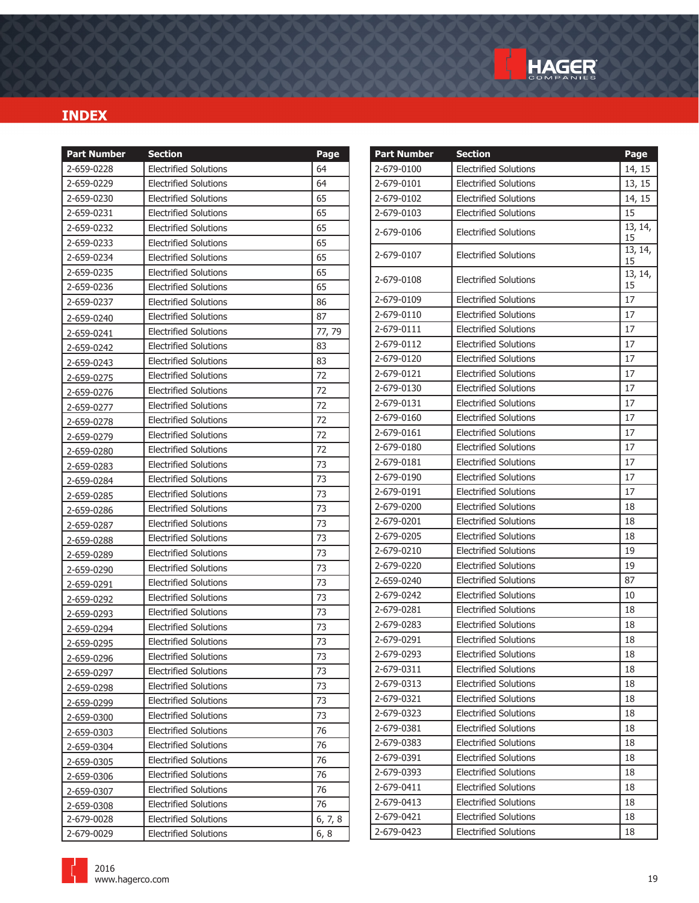

| <b>Part Number</b> | <b>Section</b>               | Page    | <b>Part Number</b> | <b>Section</b>               | Page          |
|--------------------|------------------------------|---------|--------------------|------------------------------|---------------|
| 2-659-0228         | <b>Electrified Solutions</b> | 64      | 2-679-0100         | <b>Electrified Solutions</b> | 14, 15        |
| 2-659-0229         | <b>Electrified Solutions</b> | 64      | 2-679-0101         | <b>Electrified Solutions</b> | 13, 15        |
| 2-659-0230         | <b>Electrified Solutions</b> | 65      | 2-679-0102         | <b>Electrified Solutions</b> | 14, 15        |
| 2-659-0231         | <b>Electrified Solutions</b> | 65      | 2-679-0103         | <b>Electrified Solutions</b> | 15            |
| 2-659-0232         | <b>Electrified Solutions</b> | 65      | 2-679-0106         | <b>Electrified Solutions</b> | 13, 14,       |
| 2-659-0233         | <b>Electrified Solutions</b> | 65      |                    |                              | 15<br>13, 14, |
| 2-659-0234         | <b>Electrified Solutions</b> | 65      | 2-679-0107         | <b>Electrified Solutions</b> | 15            |
| 2-659-0235         | <b>Electrified Solutions</b> | 65      |                    |                              | 13, 14,       |
| 2-659-0236         | <b>Electrified Solutions</b> | 65      | 2-679-0108         | <b>Electrified Solutions</b> | 15            |
| 2-659-0237         | <b>Electrified Solutions</b> | 86      | 2-679-0109         | <b>Electrified Solutions</b> | 17            |
| 2-659-0240         | <b>Electrified Solutions</b> | 87      | 2-679-0110         | <b>Electrified Solutions</b> | 17            |
| 2-659-0241         | <b>Electrified Solutions</b> | 77, 79  | 2-679-0111         | <b>Electrified Solutions</b> | 17            |
| 2-659-0242         | <b>Electrified Solutions</b> | 83      | 2-679-0112         | <b>Electrified Solutions</b> | 17            |
| 2-659-0243         | <b>Electrified Solutions</b> | 83      | 2-679-0120         | <b>Electrified Solutions</b> | 17            |
| 2-659-0275         | <b>Electrified Solutions</b> | 72      | 2-679-0121         | <b>Electrified Solutions</b> | 17            |
| 2-659-0276         | <b>Electrified Solutions</b> | 72      | 2-679-0130         | <b>Electrified Solutions</b> | 17            |
| 2-659-0277         | <b>Electrified Solutions</b> | 72      | 2-679-0131         | <b>Electrified Solutions</b> | 17            |
| 2-659-0278         | <b>Electrified Solutions</b> | 72      | 2-679-0160         | <b>Electrified Solutions</b> | 17            |
| 2-659-0279         | <b>Electrified Solutions</b> | 72      | 2-679-0161         | <b>Electrified Solutions</b> | 17            |
| 2-659-0280         | <b>Electrified Solutions</b> | 72      | 2-679-0180         | <b>Electrified Solutions</b> | 17            |
| 2-659-0283         | <b>Electrified Solutions</b> | 73      | 2-679-0181         | <b>Electrified Solutions</b> | 17            |
| 2-659-0284         | <b>Electrified Solutions</b> | 73      | 2-679-0190         | <b>Electrified Solutions</b> | 17            |
| 2-659-0285         | <b>Electrified Solutions</b> | 73      | 2-679-0191         | <b>Electrified Solutions</b> | 17            |
| 2-659-0286         | <b>Electrified Solutions</b> | 73      | 2-679-0200         | <b>Electrified Solutions</b> | 18            |
| 2-659-0287         | <b>Electrified Solutions</b> | 73      | 2-679-0201         | <b>Electrified Solutions</b> | 18            |
| 2-659-0288         | <b>Electrified Solutions</b> | 73      | 2-679-0205         | <b>Electrified Solutions</b> | 18            |
| 2-659-0289         | <b>Electrified Solutions</b> | 73      | 2-679-0210         | <b>Electrified Solutions</b> | 19            |
| 2-659-0290         | <b>Electrified Solutions</b> | 73      | 2-679-0220         | <b>Electrified Solutions</b> | 19            |
| 2-659-0291         | <b>Electrified Solutions</b> | 73      | 2-659-0240         | <b>Electrified Solutions</b> | 87            |
| 2-659-0292         | <b>Electrified Solutions</b> | 73      | 2-679-0242         | <b>Electrified Solutions</b> | 10            |
| 2-659-0293         | <b>Electrified Solutions</b> | 73      | 2-679-0281         | <b>Electrified Solutions</b> | 18            |
| 2-659-0294         | <b>Electrified Solutions</b> | 73      | 2-679-0283         | <b>Electrified Solutions</b> | 18            |
| 2-659-0295         | <b>Electrified Solutions</b> | 73      | 2-679-0291         | <b>Electrified Solutions</b> | 18            |
| 2-659-0296         | <b>Electrified Solutions</b> | 73      | 2-679-0293         | <b>Electrified Solutions</b> | 18            |
| 2-659-0297         | <b>Electrified Solutions</b> | 73      | 2-679-0311         | <b>Electrified Solutions</b> | 18            |
| 2-659-0298         | <b>Electrified Solutions</b> | 73      | 2-679-0313         | <b>Electrified Solutions</b> | 18            |
| 2-659-0299         | <b>Electrified Solutions</b> | 73      | 2-679-0321         | <b>Electrified Solutions</b> | 18            |
| 2-659-0300         | <b>Electrified Solutions</b> | 73      | 2-679-0323         | <b>Electrified Solutions</b> | 18            |
| 2-659-0303         | Electrified Solutions        | 76      | 2-679-0381         | <b>Electrified Solutions</b> | 18            |
| 2-659-0304         | <b>Electrified Solutions</b> | 76      | 2-679-0383         | <b>Electrified Solutions</b> | 18            |
| 2-659-0305         | <b>Electrified Solutions</b> | 76      | 2-679-0391         | <b>Electrified Solutions</b> | 18            |
| 2-659-0306         | <b>Electrified Solutions</b> | 76      | 2-679-0393         | <b>Electrified Solutions</b> | 18            |
| 2-659-0307         | <b>Electrified Solutions</b> | 76      | 2-679-0411         | <b>Electrified Solutions</b> | 18            |
| 2-659-0308         | Electrified Solutions        | 76      | 2-679-0413         | <b>Electrified Solutions</b> | 18            |
| 2-679-0028         | <b>Electrified Solutions</b> | 6, 7, 8 | 2-679-0421         | <b>Electrified Solutions</b> | 18            |
| 2-679-0029         | <b>Electrified Solutions</b> | 6, 8    | 2-679-0423         | <b>Electrified Solutions</b> | 18            |